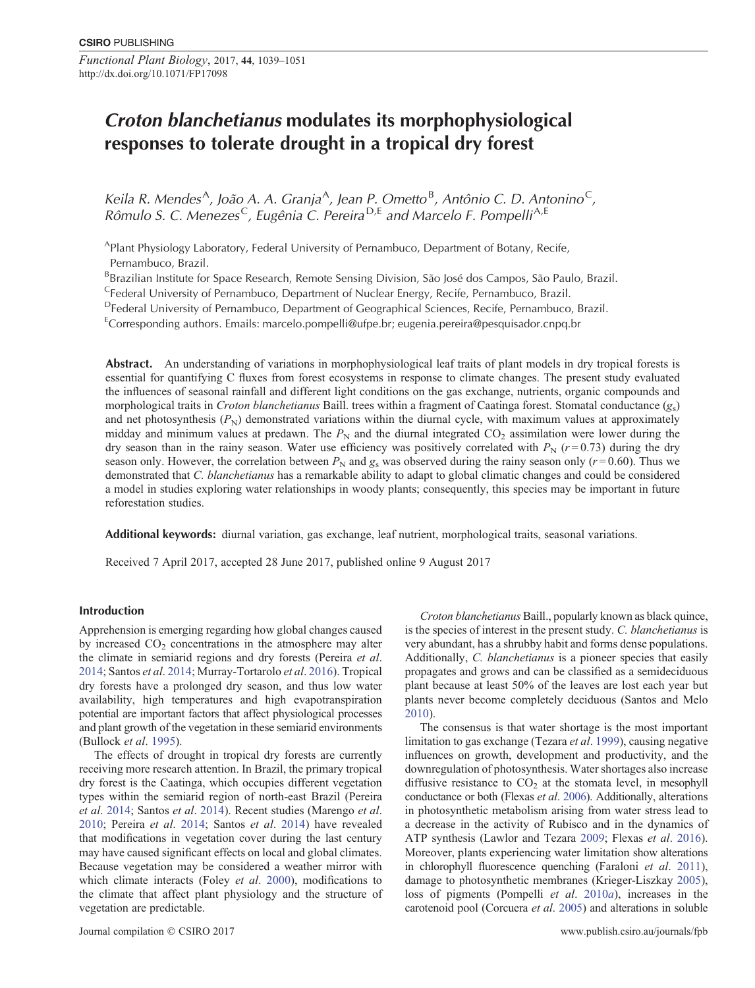*Functional Plant Biology*, 2017, **44**, 1039–1051 http://dx.doi.org/10.1071/FP17098

# *Croton blanchetianus* **modulates its morphophysiological responses to tolerate drought in a tropical dry forest**

*Keila R. Mendes<sup>A</sup>, João A. A. Granja<sup>A</sup>, Jean P. Ometto<sup>B</sup>, Antônio C. D. Antonino<sup>C</sup>, Rômulo S. C. Menezes*C*, Eugênia C. Pereira* <sup>D</sup>*,*<sup>E</sup> *and Marcelo F. Pompelli*A*,*<sup>E</sup>

APlant Physiology Laboratory, Federal University of Pernambuco, Department of Botany, Recife, Pernambuco, Brazil.

<sup>B</sup>Brazilian Institute for Space Research, Remote Sensing Division, São José dos Campos, São Paulo, Brazil.

<sup>C</sup>Federal University of Pernambuco, Department of Nuclear Energy, Recife, Pernambuco, Brazil.

DFederal University of Pernambuco, Department of Geographical Sciences, Recife, Pernambuco, Brazil.

<sup>E</sup>Corresponding authors. Emails: [marcelo.pompelli@ufpe.br;](mailto:marcelo.pompelli@ufpe.br) [eugenia.pereira@pesquisador.cnpq.br](mailto:eugenia.pereira@pesquisador.cnpq.br)

Abstract. An understanding of variations in morphophysiological leaf traits of plant models in dry tropical forests is essential for quantifying C fluxes from forest ecosystems in response to climate changes. The present study evaluated the influences of seasonal rainfall and different light conditions on the gas exchange, nutrients, organic compounds and morphological traits in *Croton blanchetianus* Baill. trees within a fragment of Caatinga forest. Stomatal conductance (*g*s) and net photosynthesis  $(P_N)$  demonstrated variations within the diurnal cycle, with maximum values at approximately midday and minimum values at predawn. The  $P<sub>N</sub>$  and the diurnal integrated CO<sub>2</sub> assimilation were lower during the dry season than in the rainy season. Water use efficiency was positively correlated with  $P_N$  ( $r = 0.73$ ) during the dry season only. However, the correlation between  $P_N$  and  $g_S$  was observed during the rainy season only ( $r = 0.60$ ). Thus we demonstrated that *C. blanchetianus* has a remarkable ability to adapt to global climatic changes and could be considered a model in studies exploring water relationships in woody plants; consequently, this species may be important in future reforestation studies.

**Additional keywords:** diurnal variation, gas exchange, leaf nutrient, morphological traits, seasonal variations.

Received 7 April 2017, accepted 28 June 2017, published online 9 August 2017

# **Introduction**

Apprehension is emerging regarding how global changes caused by increased  $CO<sub>2</sub>$  concentrations in the atmosphere may alter the climate in semiarid regions and dry forests (Pereira *et al*. [2014](#page-12-0); Santos *et al*. [2014](#page-12-0); Murray-Tortarolo *et al*. [2016\)](#page-11-0). Tropical dry forests have a prolonged dry season, and thus low water availability, high temperatures and high evapotranspiration potential are important factors that affect physiological processes and plant growth of the vegetation in these semiarid environments (Bullock *et al*. [1995](#page-10-0)).

The effects of drought in tropical dry forests are currently receiving more research attention. In Brazil, the primary tropical dry forest is the Caatinga, which occupies different vegetation types within the semiarid region of north-east Brazil (Pereira *et al*. [2014](#page-12-0); Santos *et al*. [2014\)](#page-12-0). Recent studies (Marengo *et al*. [2010](#page-11-0); Pereira *et al*. [2014;](#page-12-0) Santos *et al*. [2014\)](#page-12-0) have revealed that modifications in vegetation cover during the last century may have caused significant effects on local and global climates. Because vegetation may be considered a weather mirror with which climate interacts (Foley *et al*. [2000](#page-10-0)), modifications to the climate that affect plant physiology and the structure of vegetation are predictable.

*Croton blanchetianus* Baill., popularly known as black quince, is the species of interest in the present study. *C. blanchetianus* is very abundant, has a shrubby habit and forms dense populations. Additionally, *C. blanchetianus* is a pioneer species that easily propagates and grows and can be classified as a semideciduous plant because at least 50% of the leaves are lost each year but plants never become completely deciduous (Santos and Melo [2010](#page-12-0)).

The consensus is that water shortage is the most important limitation to gas exchange (Tezara *et al*. [1999\)](#page-12-0), causing negative influences on growth, development and productivity, and the downregulation of photosynthesis. Water shortages also increase diffusive resistance to  $CO<sub>2</sub>$  at the stomata level, in mesophyll conductance or both (Flexas *et al*. [2006](#page-10-0)). Additionally, alterations in photosynthetic metabolism arising from water stress lead to a decrease in the activity of Rubisco and in the dynamics of ATP synthesis (Lawlor and Tezara [2009;](#page-11-0) Flexas *et al*. [2016](#page-10-0)). Moreover, plants experiencing water limitation show alterations in chlorophyll fluorescence quenching (Faraloni *et al*. [2011](#page-10-0)), damage to photosynthetic membranes (Krieger-Liszkay [2005](#page-11-0)), loss of pigments (Pompelli *et al*. [2010](#page-12-0)*a*), increases in the carotenoid pool (Corcuera *et al*. [2005](#page-10-0)) and alterations in soluble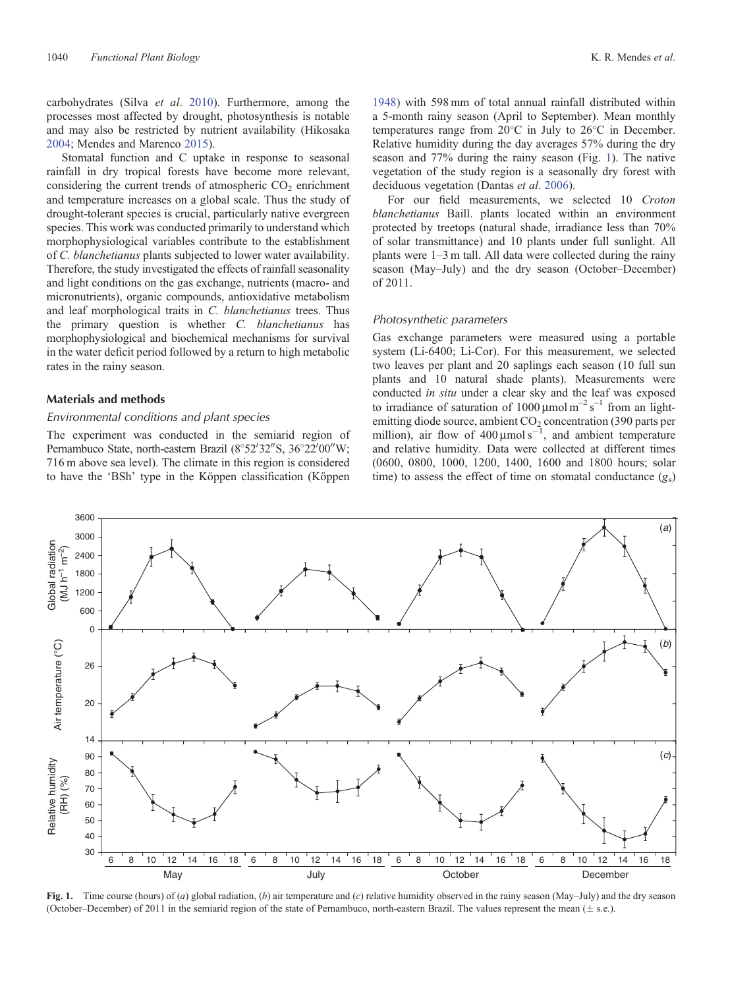<span id="page-1-0"></span>carbohydrates (Silva *et al*. [2010](#page-12-0)). Furthermore, among the processes most affected by drought, photosynthesis is notable and may also be restricted by nutrient availability (Hikosaka [2004;](#page-11-0) Mendes and Marenco [2015](#page-11-0)).

Stomatal function and C uptake in response to seasonal rainfall in dry tropical forests have become more relevant, considering the current trends of atmospheric  $CO<sub>2</sub>$  enrichment and temperature increases on a global scale. Thus the study of drought-tolerant species is crucial, particularly native evergreen species. This work was conducted primarily to understand which morphophysiological variables contribute to the establishment of *C. blanchetianus* plants subjected to lower water availability. Therefore, the study investigated the effects of rainfall seasonality and light conditions on the gas exchange, nutrients (macro- and micronutrients), organic compounds, antioxidative metabolism and leaf morphological traits in *C. blanchetianus* trees. Thus the primary question is whether *C. blanchetianus* has morphophysiological and biochemical mechanisms for survival in the water deficit period followed by a return to high metabolic rates in the rainy season.

# **Materials and methods**

# *Environmental conditions and plant species*

The experiment was conducted in the semiarid region of Pernambuco State, north-eastern Brazil (8°52'32"S, 36°22'00"W; 716 m above sea level). The climate in this region is considered to have the 'BSh' type in the Köppen classification (Köppen [1948\)](#page-11-0) with 598 mm of total annual rainfall distributed within a 5-month rainy season (April to September). Mean monthly temperatures range from 20 C in July to 26 C in December. Relative humidity during the day averages 57% during the dry season and 77% during the rainy season (Fig. 1). The native vegetation of the study region is a seasonally dry forest with deciduous vegetation (Dantas *et al*. [2006\)](#page-10-0).

For our field measurements, we selected 10 *Croton blanchetianus* Baill. plants located within an environment protected by treetops (natural shade, irradiance less than 70% of solar transmittance) and 10 plants under full sunlight. All plants were 1–3 m tall. All data were collected during the rainy season (May–July) and the dry season (October–December) of 2011.

## *Photosynthetic parameters*

Gas exchange parameters were measured using a portable system (Li-6400; Li-Cor). For this measurement, we selected two leaves per plant and 20 saplings each season (10 full sun plants and 10 natural shade plants). Measurements were conducted *in situ* under a clear sky and the leaf was exposed to irradiance of saturation of  $1000 \mu$ mol m<sup>-2</sup> s<sup>-1</sup> from an lightemitting diode source, ambient  $CO<sub>2</sub>$  concentration (390 parts per million), air flow of  $400 \mu$ mol s<sup>-1</sup>, and ambient temperature and relative humidity. Data were collected at different times (0600, 0800, 1000, 1200, 1400, 1600 and 1800 hours; solar time) to assess the effect of time on stomatal conductance  $(g_s)$ 



**Fig. 1.** Time course (hours) of (*a*) global radiation, (*b*) air temperature and (*c*) relative humidity observed in the rainy season (May–July) and the dry season (October–December) of 2011 in the semiarid region of the state of Pernambuco, north-eastern Brazil. The values represent the mean  $(\pm$  s.e.).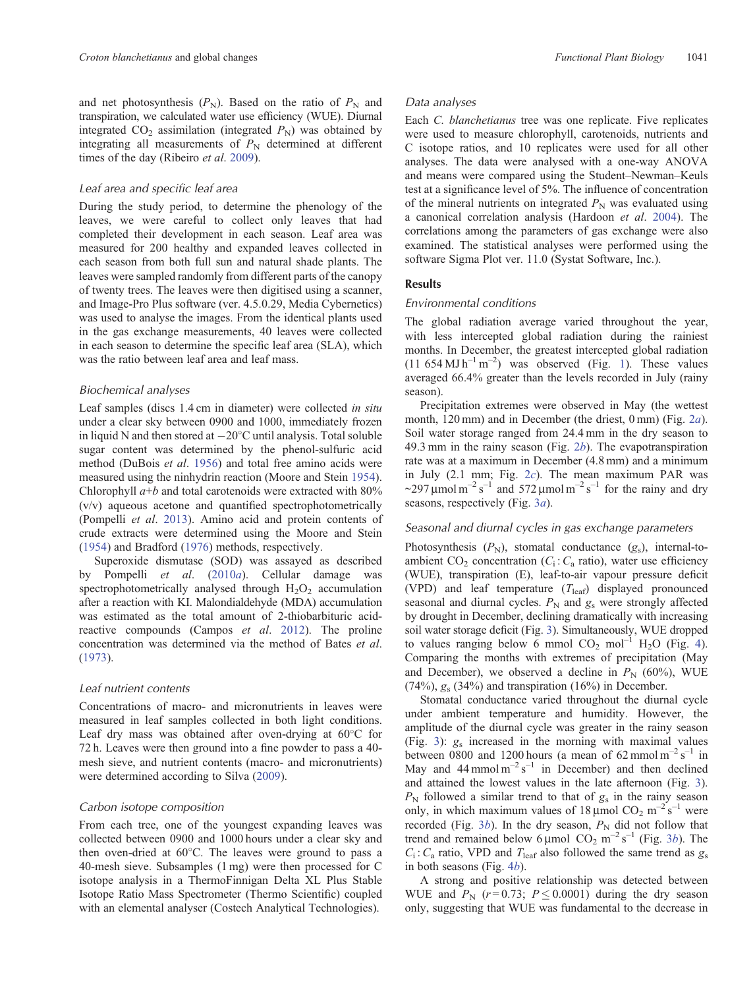and net photosynthesis  $(P_N)$ . Based on the ratio of  $P_N$  and transpiration, we calculated water use efficiency (WUE). Diurnal integrated  $CO_2$  assimilation (integrated  $P_N$ ) was obtained by integrating all measurements of  $P<sub>N</sub>$  determined at different times of the day (Ribeiro *et al*. [2009](#page-12-0)).

## *Leaf area and specific leaf area*

During the study period, to determine the phenology of the leaves, we were careful to collect only leaves that had completed their development in each season. Leaf area was measured for 200 healthy and expanded leaves collected in each season from both full sun and natural shade plants. The leaves were sampled randomly from different parts of the canopy of twenty trees. The leaves were then digitised using a scanner, and Image-Pro Plus software (ver. 4.5.0.29, Media Cybernetics) was used to analyse the images. From the identical plants used in the gas exchange measurements, 40 leaves were collected in each season to determine the specific leaf area (SLA), which was the ratio between leaf area and leaf mass.

#### *Biochemical analyses*

Leaf samples (discs 1.4 cm in diameter) were collected *in situ* under a clear sky between 0900 and 1000, immediately frozen in liquid N and then stored at  $-20^{\circ}$ C until analysis. Total soluble sugar content was determined by the phenol-sulfuric acid method (DuBois *et al*. [1956\)](#page-10-0) and total free amino acids were measured using the ninhydrin reaction (Moore and Stein [1954](#page-11-0)). Chlorophyll  $a+b$  and total carotenoids were extracted with 80% (v/v) aqueous acetone and quantified spectrophotometrically (Pompelli *et al*. [2013](#page-12-0)). Amino acid and protein contents of crude extracts were determined using the Moore and Stein [\(1954](#page-11-0)) and Bradford ([1976\)](#page-10-0) methods, respectively.

Superoxide dismutase (SOD) was assayed as described by Pompelli *et al*. [\(2010](#page-12-0)*a*). Cellular damage was spectrophotometrically analysed through  $H_2O_2$  accumulation after a reaction with KI. Malondialdehyde (MDA) accumulation was estimated as the total amount of 2-thiobarbituric acidreactive compounds (Campos *et al*. [2012](#page-10-0)). The proline concentration was determined via the method of Bates *et al*. [\(1973](#page-10-0)).

#### *Leaf nutrient contents*

Concentrations of macro- and micronutrients in leaves were measured in leaf samples collected in both light conditions. Leaf dry mass was obtained after oven-drying at 60 C for 72 h. Leaves were then ground into a fine powder to pass a 40 mesh sieve, and nutrient contents (macro- and micronutrients) were determined according to Silva [\(2009](#page-12-0)).

# *Carbon isotope composition*

From each tree, one of the youngest expanding leaves was collected between 0900 and 1000 hours under a clear sky and then oven-dried at 60 C. The leaves were ground to pass a 40-mesh sieve. Subsamples (1 mg) were then processed for C isotope analysis in a ThermoFinnigan Delta XL Plus Stable Isotope Ratio Mass Spectrometer (Thermo Scientific) coupled with an elemental analyser (Costech Analytical Technologies).

### *Data analyses*

Each *C. blanchetianus* tree was one replicate. Five replicates were used to measure chlorophyll, carotenoids, nutrients and C isotope ratios, and 10 replicates were used for all other analyses. The data were analysed with a one-way ANOVA and means were compared using the Student–Newman–Keuls test at a significance level of 5%. The influence of concentration of the mineral nutrients on integrated  $P_N$  was evaluated using a canonical correlation analysis (Hardoon *et al*. [2004\)](#page-11-0). The correlations among the parameters of gas exchange were also examined. The statistical analyses were performed using the software Sigma Plot ver. 11.0 (Systat Software, Inc.).

# **Results**

## *Environmental conditions*

The global radiation average varied throughout the year, with less intercepted global radiation during the rainiest months. In December, the greatest intercepted global radiation  $(11\ 654\ \text{MJ}\ \text{h}^{-1}\ \text{m}^{-2})$  $(11\ 654\ \text{MJ}\ \text{h}^{-1}\ \text{m}^{-2})$  $(11\ 654\ \text{MJ}\ \text{h}^{-1}\ \text{m}^{-2})$  was observed (Fig. 1). These values averaged 66.4% greater than the levels recorded in July (rainy season).

Precipitation extremes were observed in May (the wettest month, 120 mm) and in December (the driest, 0 mm) (Fig. 2*[a](#page-3-0)*). Soil water storage ranged from 24.4 mm in the dry season to 49.3 mm in the rainy season (Fig. [2](#page-3-0)*b*). The evapotranspiration rate was at a maximum in December (4.8 mm) and a minimum in July (2.1 mm; Fig. [2](#page-3-0)*c*). The mean maximum PAR was ~297 µmol m<sup>-2</sup> s<sup>-1</sup> and 572 µmol m<sup>-2</sup> s<sup>-1</sup> for the rainy and dry seasons, respectively (Fig. [3](#page-4-0)*a*).

#### *Seasonal and diurnal cycles in gas exchange parameters*

Photosynthesis  $(P_N)$ , stomatal conductance  $(g_s)$ , internal-toambient  $CO_2$  concentration ( $C_i$ :  $C_a$  ratio), water use efficiency (WUE), transpiration (E), leaf-to-air vapour pressure deficit (VPD) and leaf temperature (*T*leaf) displayed pronounced seasonal and diurnal cycles.  $P_N$  and  $g_s$  were strongly affected by drought in December, declining dramatically with increasing soil water storage deficit (Fig. [3\)](#page-4-0). Simultaneously, WUE dropped to values ranging below 6 mmol  $CO_2$  mol<sup>-1</sup> H<sub>2</sub>O (Fig. [4](#page-5-0)). Comparing the months with extremes of precipitation (May and December), we observed a decline in  $P_N$  (60%), WUE  $(74\%)$ ,  $g_s$   $(34\%)$  and transpiration  $(16\%)$  in December.

Stomatal conductance varied throughout the diurnal cycle under ambient temperature and humidity. However, the amplitude of the diurnal cycle was greater in the rainy season (Fig. [3\)](#page-4-0): *g*<sup>s</sup> increased in the morning with maximal values between 0800 and 1200 hours (a mean of 62 mmol  $m^{-2} s^{-1}$  in May and  $44$  mmol m<sup>-2</sup> s<sup>-1</sup> in December) and then declined and attained the lowest values in the late afternoon (Fig. [3](#page-4-0)).  $P_N$  followed a similar trend to that of  $g_s$  in the rainy season only, in which maximum values of 18  $\mu$ mol CO<sub>2</sub> m<sup>-2</sup> s<sup>-1</sup> were recorded (Fig.  $3b$  $3b$ ). In the dry season,  $P_N$  did not follow that trend and remained [b](#page-4-0)elow  $6 \mu$ mol CO<sub>2</sub> m<sup>-2</sup> s<sup>-1</sup> (Fig. 3*b*). The  $C_i$ :  $C_a$  ratio, VPD and  $T_{leaf}$  also followed the same trend as  $g_s$ in both seasons (Fig. 4*[b](#page-5-0)*).

A strong and positive relationship was detected between WUE and  $P_N$  ( $r = 0.73$ ;  $P \le 0.0001$ ) during the dry season only, suggesting that WUE was fundamental to the decrease in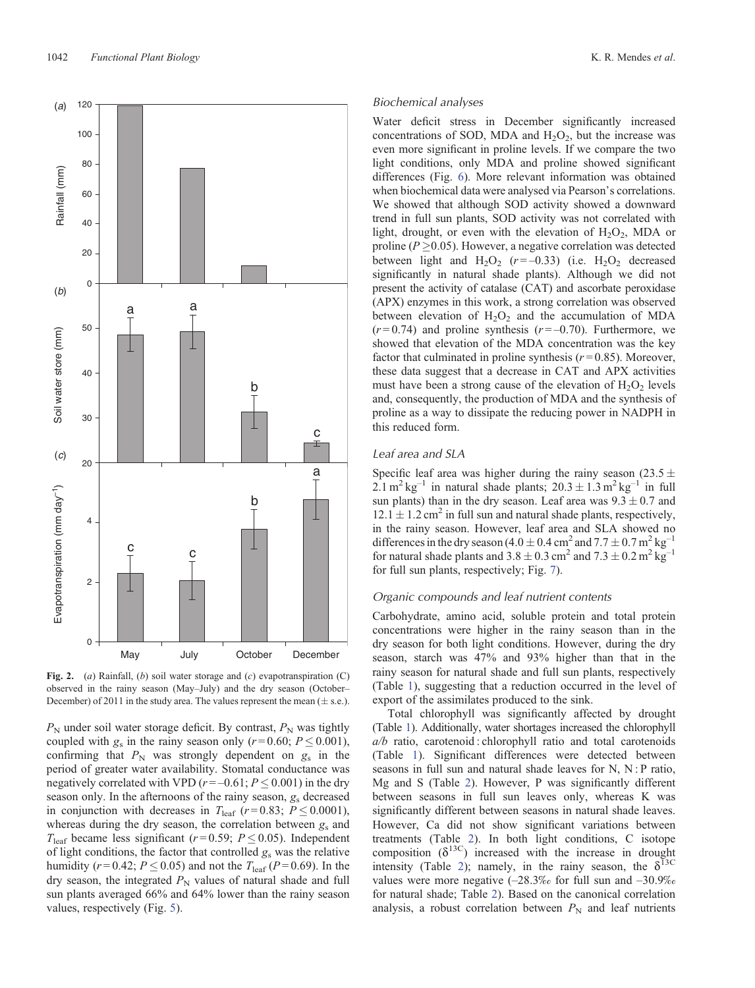<span id="page-3-0"></span>

**Fig. 2.** (*a*) Rainfall, (*b*) soil water storage and (*c*) evapotranspiration (C) observed in the rainy season (May–July) and the dry season (October– December) of 2011 in the study area. The values represent the mean  $(\pm s.e.)$ .

 $P_N$  under soil water storage deficit. By contrast,  $P_N$  was tightly coupled with  $g_s$  in the rainy season only ( $r = 0.60$ ;  $P \le 0.001$ ), confirming that  $P_N$  was strongly dependent on  $g_S$  in the period of greater water availability. Stomatal conductance was negatively correlated with VPD ( $r = -0.61$ ;  $P \le 0.001$ ) in the dry season only. In the afternoons of the rainy season, *g*<sup>s</sup> decreased in conjunction with decreases in  $T_{\text{leaf}}$  ( $r = 0.83$ ;  $P \le 0.0001$ ), whereas during the dry season, the correlation between *g*<sup>s</sup> and  $T_{\text{leaf}}$  became less significant ( $r = 0.59$ ;  $P \le 0.05$ ). Independent of light conditions, the factor that controlled  $g<sub>s</sub>$  was the relative humidity ( $r = 0.42$ ;  $P \le 0.05$ ) and not the  $T_{\text{leaf}}$  ( $P = 0.69$ ). In the dry season, the integrated  $P_N$  values of natural shade and full sun plants averaged 66% and 64% lower than the rainy season values, respectively (Fig. [5\)](#page-6-0).

#### *Biochemical analyses*

Water deficit stress in December significantly increased concentrations of SOD, MDA and  $H_2O_2$ , but the increase was even more significant in proline levels. If we compare the two light conditions, only MDA and proline showed significant differences (Fig. [6\)](#page-6-0). More relevant information was obtained when biochemical data were analysed via Pearson's correlations. We showed that although SOD activity showed a downward trend in full sun plants, SOD activity was not correlated with light, drought, or even with the elevation of  $H_2O_2$ , MDA or proline  $(P > 0.05)$ . However, a negative correlation was detected between light and  $H_2O_2$  ( $r = -0.33$ ) (i.e.  $H_2O_2$  decreased significantly in natural shade plants). Although we did not present the activity of catalase (CAT) and ascorbate peroxidase (APX) enzymes in this work, a strong correlation was observed between elevation of  $H_2O_2$  and the accumulation of MDA  $(r=0.74)$  and proline synthesis  $(r=-0.70)$ . Furthermore, we showed that elevation of the MDA concentration was the key factor that culminated in proline synthesis  $(r=0.85)$ . Moreover, these data suggest that a decrease in CAT and APX activities must have been a strong cause of the elevation of  $H_2O_2$  levels and, consequently, the production of MDA and the synthesis of proline as a way to dissipate the reducing power in NADPH in this reduced form.

## *Leaf area and SLA*

Specific leaf area was higher during the rainy season (23.5  $\pm$  $2.1 \text{ m}^2 \text{ kg}^{-1}$  in natural shade plants;  $20.3 \pm 1.3 \text{ m}^2 \text{ kg}^{-1}$  in full sun plants) than in the dry season. Leaf area was  $9.3 \pm 0.7$  and  $12.1 \pm 1.2$  cm<sup>2</sup> in full sun and natural shade plants, respectively, in the rainy season. However, leaf area and SLA showed no differences in the dry season (4.0  $\pm$  0.4 cm<sup>2</sup> and 7.7  $\pm$  0.7 m<sup>2</sup> kg<sup>-1</sup> for natural shade plants and  $3.8 \pm 0.3$  cm<sup>2</sup> and  $7.3 \pm 0.2$  m<sup>2</sup> kg<sup>-1</sup> for full sun plants, respectively; Fig. [7\)](#page-7-0).

# *Organic compounds and leaf nutrient contents*

Carbohydrate, amino acid, soluble protein and total protein concentrations were higher in the rainy season than in the dry season for both light conditions. However, during the dry season, starch was 47% and 93% higher than that in the rainy season for natural shade and full sun plants, respectively (Table [1](#page-7-0)), suggesting that a reduction occurred in the level of export of the assimilates produced to the sink.

Total chlorophyll was significantly affected by drought (Table [1](#page-7-0)). Additionally, water shortages increased the chlorophyll *a/b* ratio, carotenoid : chlorophyll ratio and total carotenoids (Table [1\)](#page-7-0). Significant differences were detected between seasons in full sun and natural shade leaves for N, N : P ratio, Mg and S (Table [2\)](#page-8-0). However, P was significantly different between seasons in full sun leaves only, whereas K was significantly different between seasons in natural shade leaves. However, Ca did not show significant variations between treatments (Table [2](#page-8-0)). In both light conditions, C isotope composition  $(\delta^{13C})$  increased with the increase in drought intensity (Table [2\)](#page-8-0); namely, in the rainy season, the  $\delta^{13C}$ values were more negative  $(-28.3\% \text{ or full sun and } -30.9\% \text{)}$ for natural shade; Table [2](#page-8-0)). Based on the canonical correlation analysis, a robust correlation between  $P<sub>N</sub>$  and leaf nutrients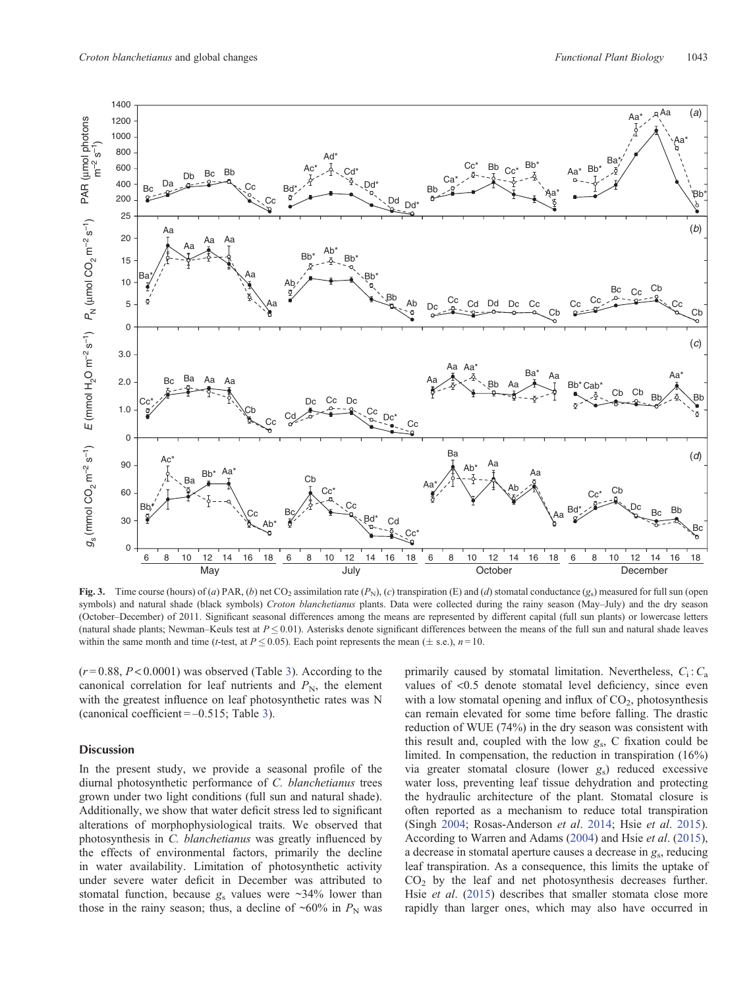<span id="page-4-0"></span>

**Fig. 3.** Time course (hours) of (*a*) PAR, (*b*) net CO<sub>2</sub> assimilation rate  $(P_N)$ , (*c*) transpiration (E) and (*d*) stomatal conductance (*g*s) measured for full sun (open symbols) and natural shade (black symbols) *Croton blanchetianus* plants. Data were collected during the rainy season (May–July) and the dry season (October–December) of 2011. Significant seasonal differences among the means are represented by different capital (full sun plants) or lowercase letters (natural shade plants; Newman–Keuls test at  $P \le 0.01$ ). Asterisks denote significant differences between the means of the full sun and natural shade leaves within the same month and time (*t*-test, at  $P \le 0.05$ ). Each point represents the mean ( $\pm$  s.e.),  $n=10$ .

 $(r=0.88, P<0.0001)$  was observed (Table [3](#page-8-0)). According to the canonical correlation for leaf nutrients and  $P_N$ , the element with the greatest influence on leaf photosynthetic rates was N (canonical coefficient  $=$  –0.515; Table [3\)](#page-8-0).

# **Discussion**

In the present study, we provide a seasonal profile of the diurnal photosynthetic performance of *C. blanchetianus* trees grown under two light conditions (full sun and natural shade). Additionally, we show that water deficit stress led to significant alterations of morphophysiological traits. We observed that photosynthesis in *C. blanchetianus* was greatly influenced by the effects of environmental factors, primarily the decline in water availability. Limitation of photosynthetic activity under severe water deficit in December was attributed to stomatal function, because  $g_s$  values were  $\sim$ 34% lower than those in the rainy season; thus, a decline of  $\sim 60\%$  in  $P_{\rm N}$  was primarily caused by stomatal limitation. Nevertheless,  $C_i$ :  $C_a$ values of <0.5 denote stomatal level deficiency, since even with a low stomatal opening and influx of  $CO<sub>2</sub>$ , photosynthesis can remain elevated for some time before falling. The drastic reduction of WUE (74%) in the dry season was consistent with this result and, coupled with the low *g*s, C fixation could be limited. In compensation, the reduction in transpiration (16%) via greater stomatal closure (lower *g*s) reduced excessive water loss, preventing leaf tissue dehydration and protecting the hydraulic architecture of the plant. Stomatal closure is often reported as a mechanism to reduce total transpiration (Singh 2004; Rosas-Anderson *et al*. [2014;](#page-12-0) Hsie *et al*. [2015](#page-11-0)). According to Warren and Adams ([2004\)](#page-12-0) and Hsie *et al*. [\(2015](#page-11-0)), a decrease in stomatal aperture causes a decrease in *g*s, reducing leaf transpiration. As a consequence, this limits the uptake of  $CO<sub>2</sub>$  by the leaf and net photosynthesis decreases further. Hsie *et al*. [\(2015](#page-11-0)) describes that smaller stomata close more rapidly than larger ones, which may also have occurred in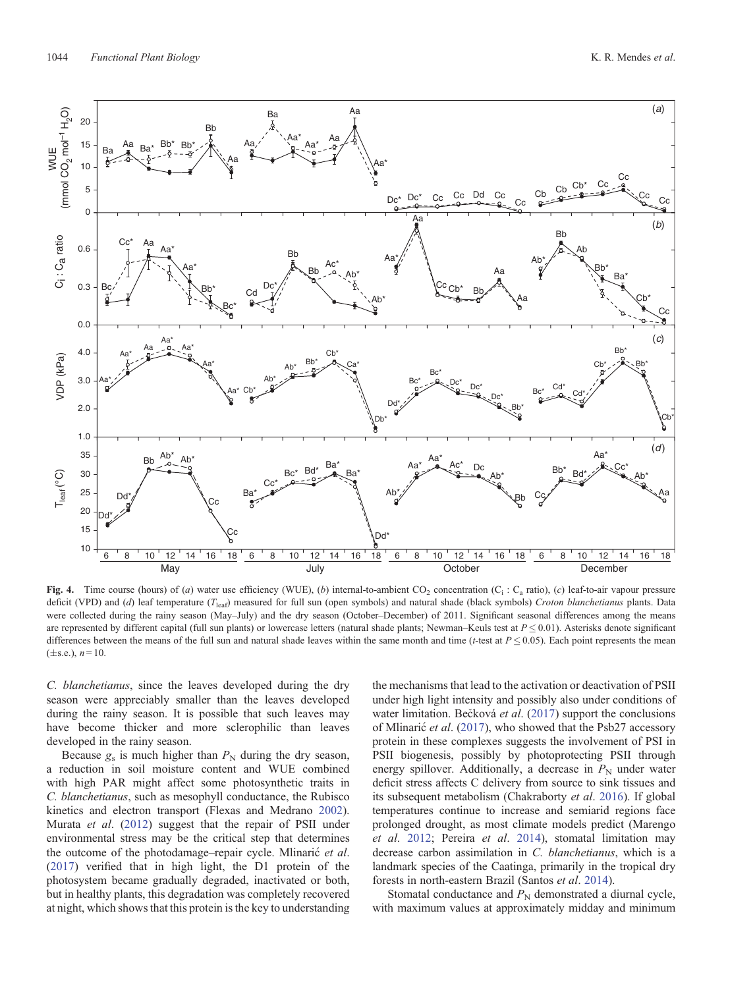<span id="page-5-0"></span>

**Fig. 4.** Time course (hours) of (*a*) water use efficiency (WUE), (*b*) internal-to-ambient CO<sub>2</sub> concentration (C<sub>i</sub>: C<sub>a</sub> ratio), (*c*) leaf-to-air vapour pressure deficit (VPD) and (*d*) leaf temperature (*T*leaf) measured for full sun (open symbols) and natural shade (black symbols) *Croton blanchetianus* plants. Data were collected during the rainy season (May–July) and the dry season (October–December) of 2011. Significant seasonal differences among the means are represented by different capital (full sun plants) or lowercase letters (natural shade plants; Newman–Keuls test at  $P \le 0.01$ ). Asterisks denote significant differences between the means of the full sun and natural shade leaves within the same month and time (*t*-test at  $P \le 0.05$ ). Each point represents the mean  $(\pm s.e.), n = 10.$ 

*C. blanchetianus*, since the leaves developed during the dry season were appreciably smaller than the leaves developed during the rainy season. It is possible that such leaves may have become thicker and more sclerophilic than leaves developed in the rainy season.

Because  $g_s$  is much higher than  $P_N$  during the dry season, a reduction in soil moisture content and WUE combined with high PAR might affect some photosynthetic traits in *C. blanchetianus*, such as mesophyll conductance, the Rubisco kinetics and electron transport (Flexas and Medrano [2002](#page-10-0)). Murata *et al*. [\(2012](#page-11-0)) suggest that the repair of PSII under environmental stress may be the critical step that determines the outcome of the photodamage–repair cycle. Mlinaric *et al*. ([2017\)](#page-11-0) verified that in high light, the D1 protein of the photosystem became gradually degraded, inactivated or both, but in healthy plants, this degradation was completely recovered at night, which shows that this protein is the key to understanding the mechanisms that lead to the activation or deactivation of PSII under high light intensity and possibly also under conditions of water limitation. Becková *et al.* ([2017\)](#page-10-0) support the conclusions of Mlinaric *et al*. [\(2017](#page-11-0)), who showed that the Psb27 accessory protein in these complexes suggests the involvement of PSI in PSII biogenesis, possibly by photoprotecting PSII through energy spillover. Additionally, a decrease in  $P<sub>N</sub>$  under water deficit stress affects C delivery from source to sink tissues and its subsequent metabolism (Chakraborty *et al*. [2016\)](#page-10-0). If global temperatures continue to increase and semiarid regions face prolonged drought, as most climate models predict (Marengo *et al*. [2012](#page-11-0); Pereira *et al*. [2014\)](#page-12-0), stomatal limitation may decrease carbon assimilation in *C. blanchetianus*, which is a landmark species of the Caatinga, primarily in the tropical dry forests in north-eastern Brazil (Santos *et al*. [2014\)](#page-12-0).

Stomatal conductance and  $P_N$  demonstrated a diurnal cycle, with maximum values at approximately midday and minimum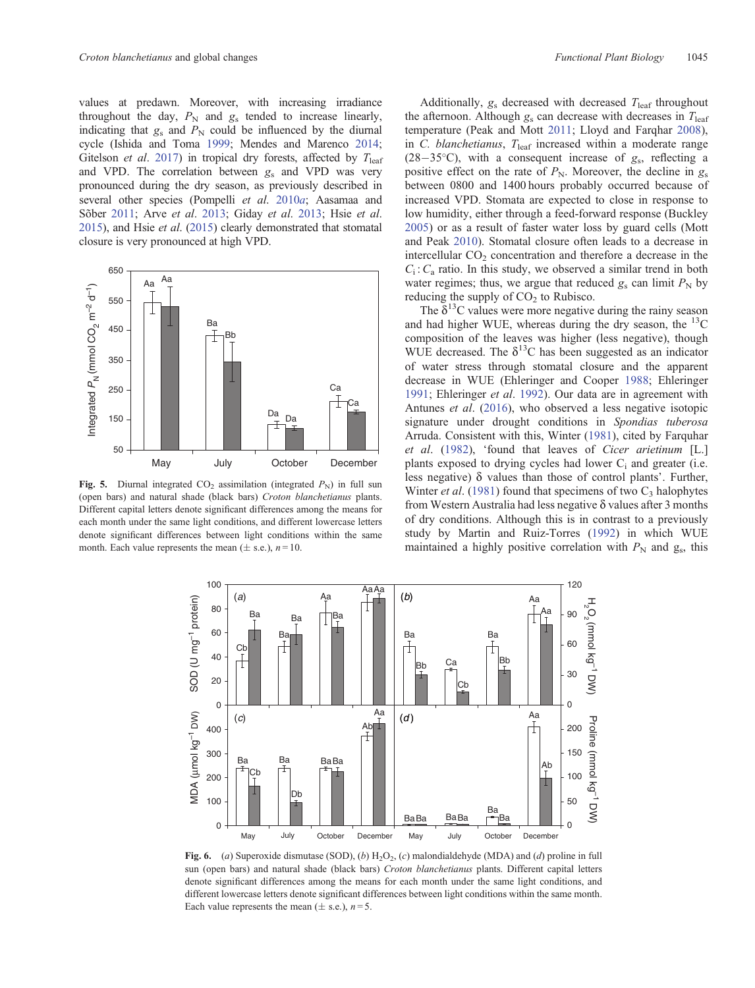<span id="page-6-0"></span>values at predawn. Moreover, with increasing irradiance throughout the day,  $P_N$  and  $g_s$  tended to increase linearly, indicating that  $g_s$  and  $P_N$  could be influenced by the diurnal cycle (Ishida and Toma [1999](#page-11-0); Mendes and Marenco [2014;](#page-11-0) Gitelson *et al.* [2017\)](#page-11-0) in tropical dry forests, affected by  $T_{\text{leaf}}$ and VPD. The correlation between *g*<sup>s</sup> and VPD was very pronounced during the dry season, as previously described in several other species (Pompelli *et al*. [2010](#page-12-0)*a*; Aasamaa and Sõber [2011](#page-10-0); Arve *et al*. [2013](#page-10-0); Giday *et al*. [2013;](#page-11-0) Hsie *et al*. [2015\)](#page-11-0), and Hsie *et al*. ([2015](#page-11-0)) clearly demonstrated that stomatal closure is very pronounced at high VPD.



**Fig. 5.** Diurnal integrated CO<sub>2</sub> assimilation (integrated  $P_N$ ) in full sun (open bars) and natural shade (black bars) *Croton blanchetianus* plants. Different capital letters denote significant differences among the means for each month under the same light conditions, and different lowercase letters denote significant differences between light conditions within the same month. Each value represents the mean  $(\pm$  s.e.),  $n = 10$ .

Additionally,  $g_s$  decreased with decreased  $T_{\text{leaf}}$  throughout the afternoon. Although  $g_s$  can decrease with decreases in  $T_{\text{leaf}}$ temperature (Peak and Mott [2011](#page-12-0); Lloyd and Farqhar [2008](#page-11-0)), in *C. blanchetianus*,  $T_{\text{leaf}}$  increased within a moderate range  $(28-35^{\circ}C)$ , with a consequent increase of  $g_s$ , reflecting a positive effect on the rate of  $P_N$ . Moreover, the decline in  $g_s$ between 0800 and 1400 hours probably occurred because of increased VPD. Stomata are expected to close in response to low humidity, either through a feed-forward response (Buckley [2005](#page-10-0)) or as a result of faster water loss by guard cells (Mott and Peak [2010\)](#page-11-0). Stomatal closure often leads to a decrease in intercellular  $CO<sub>2</sub>$  concentration and therefore a decrease in the  $C_i$ :  $C_a$  ratio. In this study, we observed a similar trend in both water regimes; thus, we argue that reduced  $g_s$  can limit  $P_N$  by reducing the supply of  $CO<sub>2</sub>$  to Rubisco.

The  $\delta^{13}$ C values were more negative during the rainy season and had higher WUE, whereas during the dry season, the  $^{13}$ C composition of the leaves was higher (less negative), though WUE decreased. The  $\delta^{13}$ C has been suggested as an indicator of water stress through stomatal closure and the apparent decrease in WUE (Ehleringer and Cooper [1988;](#page-10-0) Ehleringer [1991](#page-10-0); Ehleringer *et al*. [1992\)](#page-10-0). Our data are in agreement with Antunes *et al*. ([2016\)](#page-10-0), who observed a less negative isotopic signature under drought conditions in *Spondias tuberosa* Arruda. Consistent with this, Winter ([1981\)](#page-12-0), cited by Farquhar *et al*. ([1982\)](#page-10-0), 'found that leaves of *Cicer arietinum* [L.] plants exposed to drying cycles had lower  $C_i$  and greater (i.e. less negative)  $\delta$  values than those of control plants'. Further, Winter *et al.* [\(1981\)](#page-12-0) found that specimens of two C<sub>3</sub> halophytes from Western Australia had less negative  $\delta$  values after 3 months of dry conditions. Although this is in contrast to a previously study by Martin and Ruiz-Torres ([1992\)](#page-11-0) in which WUE maintained a highly positive correlation with  $P_N$  and  $g_s$ , this



**Fig. 6.** (*a*) Superoxide dismutase (SOD), (*b*) H<sub>2</sub>O<sub>2</sub>, (*c*) malondialdehyde (MDA) and (*d*) proline in full sun (open bars) and natural shade (black bars) *Croton blanchetianus* plants. Different capital letters denote significant differences among the means for each month under the same light conditions, and different lowercase letters denote significant differences between light conditions within the same month. Each value represents the mean  $(\pm s.e.), n=5.$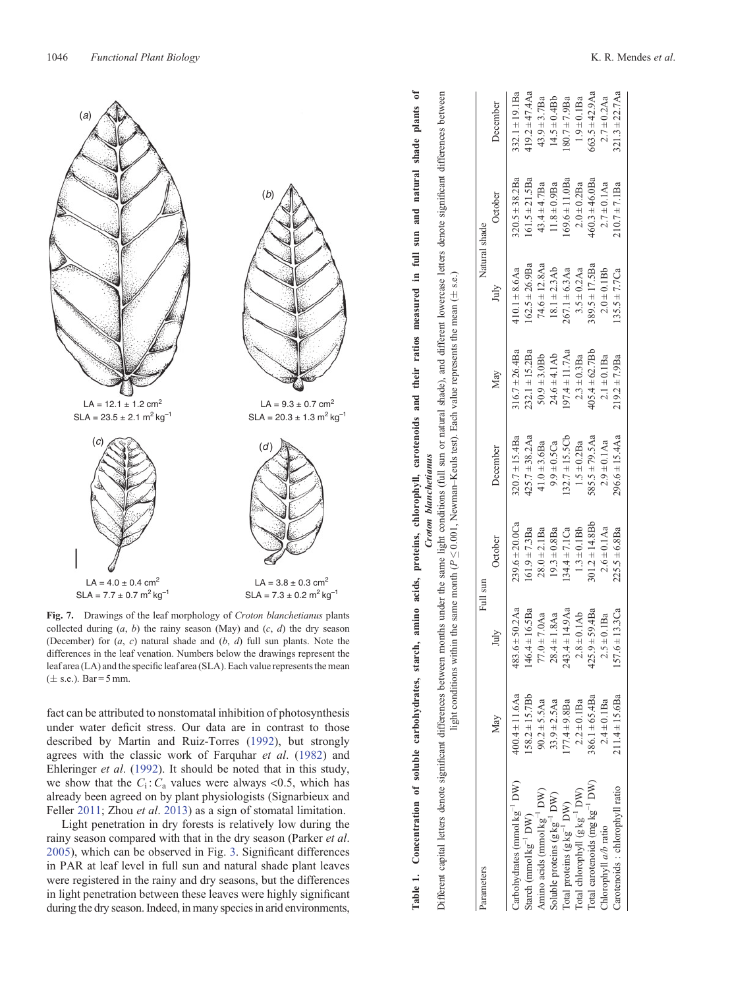<span id="page-7-0"></span>

**Fig. 7.** Drawings of the leaf morphology of *Croton blanchetianus* plants collected during  $(a, b)$  the rainy season (May) and  $(c, d)$  the dry season (December) for (*a*, *c*) natural shade and (*b*, *d*) full sun plants. Note the differences in the leaf venation. Numbers below the drawings represent the leaf area (LA) and the specific leaf area (SLA). Each value represents the mean  $(\pm \text{ s.e.})$ . Bar = 5 mm.

fact can be attributed to nonstomatal inhibition of photosynthesis under water deficit stress. Our data are in contrast to those described by Martin and Ruiz-Torres [\(1992](#page-11-0)), but strongly agrees with the classic work of Farquhar *et al*. ([1982\)](#page-10-0) and Ehleringer *et al*. ([1992\)](#page-10-0). It should be noted that in this study, we show that the  $C_i$ :  $C_a$  values were always <0.5, which has already been agreed on by plant physiologists (Signarbieux and Feller [2011;](#page-12-0) Zhou *et al*. [2013](#page-12-0)) as a sign of stomatal limitation.

Light penetration in dry forests is relatively low during the rainy season compared with that in the dry season (Parker *et al*. [2005\)](#page-11-0), which can be observed in Fig. [3](#page-4-0). Significant differences in PAR at leaf level in full sun and natural shade plant leaves were registered in the rainy and dry seasons, but the differences in light penetration between these leaves were highly significant during the dry season. Indeed, in many species in arid environments, Different capital letters denote significant differences between months under the same light conditions (full sun or natural shade), and different lowercase letters denote significant differences between Carbohydrates (mmol kg<sup>-1</sup> DW) 400.4 ± 11.6Aa 483.6 ± 50.2Aa 239.6 ± 20.7 ± 15.4Ba 316.7 ± 26.4Ba 410.1 ± 8.6Aa 320.5 ± 38.2Ba 332.1 ± 19.1Ba  $419.2 \pm 47.4$ Aa Starch (mmolkg<sup>-1</sup> DW) 158.2±15.7Bb 146.4±16.5Ba 161.9±7.3Ba 425.7±38.2Aa 232.1±15.2Ba 162.5±26.9Ba 161.5±21.5Ba 419.2±47.4Aa  $332.1 \pm 19.1$ Ba  $14.5 \pm 0.4 Bb$  $43.9 + 3.7$ Ba Soluble proteins (g kg<sup>-1</sup> DW) 33.9 ± 2.5Aa 28.4 ± 1.8Aa 19.3 ± 0.8Ba 24.6 ± 41.Ab 18.1 ± 2.3Ab 11.8 ± 0.9Ba 14.5 ± 0.4Bb Amino acids (mmolkg<sup>-1</sup> DW) 90.2 ± 5.5Aa 77.0 ± 7.0 ± 7.0Aa 28.0 ± 2.0Ba 41.0 ± 3.6Ba 50.9 ± 3.0Bb 74.6 ± 12.8Aa 43.4 ± 4.7Ba 5.9 ± 3.7Ba December May July October December May July October December  $320.5 \pm 38.2$ Ba  $61.5 \pm 21.5$ Ba  $43.4 \pm 4.7$ Ba  $11.8 \pm 0.9$ Ba October Natural shade Parameters Natural shade  $62.5 \pm 26.9$ Ba  $74.6 \pm 12.8$ Aa  $18.1 \pm 2.3 Ab$  $410.1 \pm 8.6$ Aa s.e.) July  $\leq 0.001$ , Newman–Keuls test). Each value represents the mean (  $232.1 \pm 15.2$ Ba  $316.7 \pm 26.4$ Ba  $24.6 \pm 4.1$ Ab  $50.9 + 3.0Bb$ May  $425.7 \pm 38.2$ Aa  $320.7 \pm 15.4$ Ba  $41.0 \pm 3.6$ Ba  $9.9 \pm 0.5Ca$ December  $239.6 \pm 20.0 Ca$  $161.9 \pm 7.3$ Ba  $28.0 \pm 2.1$ Ba  $19.3 \pm 0.8$ Ba October V light conditions within the same month (*P* sun Full  $483.6 \pm 50.2$ Aa  $146.4 \pm 16.5$ Ba  $77.0 \pm 7.0$ Aa  $28.4 \pm 1.8$ Aa July  $400.4 \pm 11.6$ Aa  $158.2 \pm 15.7 Bb$  $90.2 \pm 5.5$ Aa  $33.9 \pm 2.5$ Aa May Carbohydrates (mmolkg<sup>-1</sup> DW Amino acids (mmol $kg^{-1}DW$ ) Soluble proteins  $(g kg^{-1} DW)$ Starch (mmol $kg^{-1}DW$ ) Parameters

Total proteins (g kg<sup>-1</sup> DW) 177.4 ± 9.8Ba 243.4 ± 14.9Aa 134.4 ± 7.1Ca 132.7 ± 15.5Cb 197.4 ± 1.7Aa 267.1 ± 6.3Aa 169.6 ± 11.0Ba 180.7 ± 7.9Ba Total chlorophyll (g kg<sup>-1</sup> DW) 2.2 + 0.1Ba 2.8 ± 0.1Ab 1.3 + 0.1Bb 1.5 ± 0.2Ba 3.5 ± 0.3Aa 2.0 + 0.2Ba 1.9 ± 0.1Ba Total carotenoids (mg kg<sup>-1</sup> DW) 386.1±65.4Ba 425.9±59.4Ba 301.2±14.8Bb 585.5±79.5Aa 405.7Bb 389.5±17.5Ba 460.5±46.0Ba 663.5±42.9Aa Chlorophyll *a/b* ratio 2.4 ± 0.1Ba 2.5 ± 0.1Ba 2.6 ± 0.1Aa 2.9 ± 0.1Aa 2.1 ± 0.1Ba 2.0 ± 0.1Bb 2.7 ± 0.1Aa 2.7 ± 0.2Aa Carotenoids : chlorophyll ratio 211.4 ± 15.6Ba 157.6 ± 15.4Sa 225.5 ± 6.8Ba 216.5 ± 6.8Ba 219.2 ± 7.9Ba 217.7Ca 210.7 ± 7.1Ba 321.3 ± 22.7Aa

 $134.4 \pm 7.1Ca$  $1.3 \pm 0.1 Bb$ 

 $243.4 \pm 14.9$ Aa  $425.9 \pm 59.4$ Ba  $57.6 \pm 13.3$ Ca

 $77.4 \pm 9.8$ Ba  $2.2 \pm 0.1$ Ba

 $2.8 + 0.1Ab$  $2.5 \pm 0.1$ Ba

> $386.1 \pm 65.4$ Ba  $211.4 \pm 15.6$ Ba

 $\Gamma$ otal carotenoids ( $mg \, kg^{-1}$  DW)

Carotenoids: chlorophyll ratio

Chlorophyll a/b ratio

 $\begin{array}{l} \text{Total chlorophyll (g kg}^{-1} \text{ DW)}\\ \end{array}$ 

Total proteins  $(g \, kg^{-1} \, DW)$ 

 $2.4 \pm 0.1$ Ba

 $132.7 \pm 15.5Cb$  $585.5 \pm 79.5$ Aa

 $1.5 \pm 0.2$ Ba

 $301.2 \pm 14.8$ Bb

 $2.6 \pm 0.1$ Aa

 $225.5 \pm 6.8$ Ba

 $197.4 \pm 11.7$ Aa

 $2.3 \pm 0.3$ Ba  $2.1 \pm 0.1$ Ba  $219.2 \pm 7.9$ Ba

Table 1. Concentration of soluble carbohydrates, starch, amino acids, proteins, chlorophyll, carotenoids and their ratios measured in full sun and natural shade plants of *Croton blanchetianus*

Croton blanchetianus

Table 1. Concentration of soluble carbohydrates, starch, amino acids, proteins, chlorophyll, carotenoids and their ratios measured in full sun and natural shade plants of Different capital letters denote significant differences between months under the same light conditions (full sun or natural shade), and different lowercase letters denote significant differences between  $563.5 + 42.9$ Aa  $2.7 \pm 0.2$ Aa  $.21.3 \pm 22.7$ As

 $89.5 \pm 17.5$ Ba

 $405.4 + 62.7Bb$ 

 $2.0 \pm 0.1 Bb$ 

 $.35.5 \pm 7.7Ca$ 

 $296.6 \pm 15.4$ Aa

 $2.9 \pm 0.1$ Aa

 $3.5 \pm 0.2$ Aa  $267.1 \pm 6.3$ Aa

 $210.7 \pm 7.1$ Ba

 $80.7 \pm 7.9$ Ba  $1.9 \pm 0.1$ Ba

 $69.6 \pm 11.0$ Ba  $460.3 + 46.0$ Ba  $2.7 \pm 0.1$ Aa  $2.0 \pm 0.2$ Ba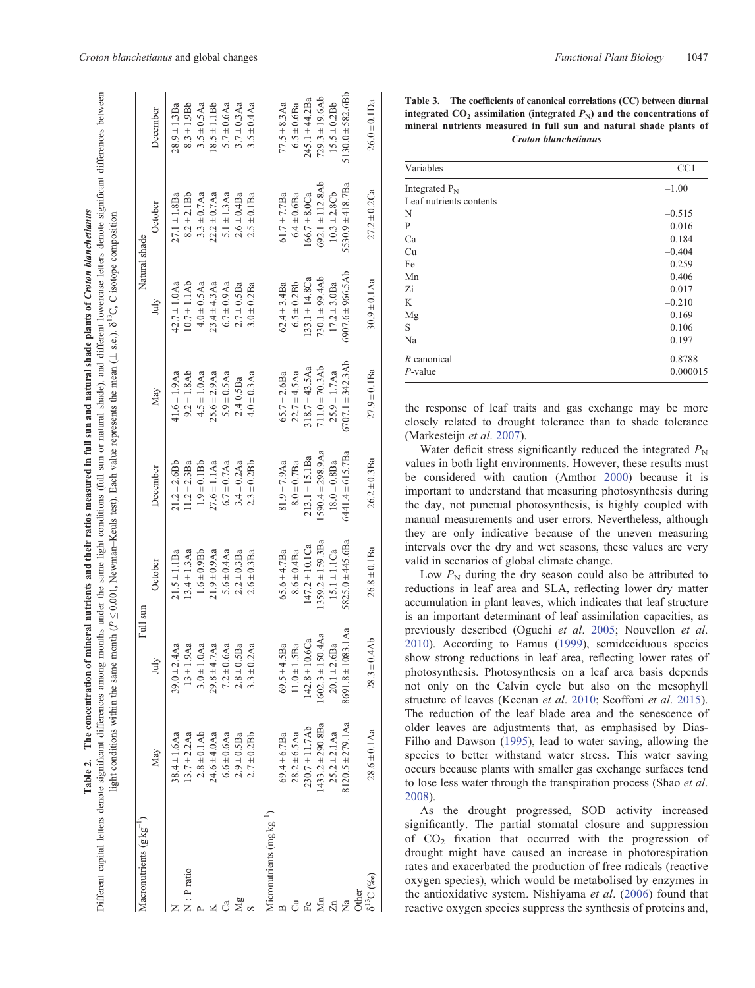<span id="page-8-0"></span>

| neasured in full sun and natural shade plants of C | HAre dan                         | くい<br>$\overline{ }$<br>$\ddot{\phantom{0}}$                                                                |
|----------------------------------------------------|----------------------------------|-------------------------------------------------------------------------------------------------------------|
|                                                    | ש בש<br>ב                        |                                                                                                             |
|                                                    | ), and $\mathrm{d}$              | $e$ mean ( $\pm$ s.e.)                                                                                      |
|                                                    |                                  | ֧֦֦֦֧֦֧֦֦֧֦֧֦֧֦֧֦֦֧֦֧֦֧֦֧֦֧֦֧֦֧֦֧֦֦֧֧֚֝֬֓֕֝֬֬֓֓֓֓֕֓֓֕֓֕֓֕֓֕֓֕֓֕֓֕֓֕֝֬֟֓֟֓֬֬֝֬֝֬<br>֧֛֧֚֚֚֚֚֚֚֚֚֚֚֚֚֚֚֚֚֚֜֜֘ |
|                                                    |                                  |                                                                                                             |
|                                                    |                                  |                                                                                                             |
|                                                    | ditions (full sun or na          | $m$ an $K$ anle tast). Each v                                                                               |
|                                                    | $\frac{1}{2}$                    |                                                                                                             |
| a their ratios hard                                | g months under the same light co |                                                                                                             |
| I nutrients an                                     |                                  |                                                                                                             |
|                                                    |                                  | month $\left( P\right)$<br>l                                                                                |
| l miner:                                           |                                  |                                                                                                             |
|                                                    | Ç                                |                                                                                                             |
|                                                    |                                  |                                                                                                             |
| ĺ                                                  |                                  |                                                                                                             |
| i                                                  |                                  | $\frac{1}{2}$<br>į                                                                                          |
|                                                    |                                  |                                                                                                             |
|                                                    |                                  |                                                                                                             |
|                                                    | $+ + \alpha r \alpha r$          |                                                                                                             |
|                                                    |                                  |                                                                                                             |

|                      | Full sur                  |                       |                       |                       | Natural shade         |                       |                     |
|----------------------|---------------------------|-----------------------|-----------------------|-----------------------|-----------------------|-----------------------|---------------------|
| May                  | Jul                       | October               | December              | May                   | July                  | October               | December            |
| $38.4 \pm 1.6$ Aa    | $39.0 \pm 2.4$ Aa         | $21.5 \pm 1.1$ Ba     | $21.2 \pm 2.6$ Bb     | 41.6 $\pm$ 1.9Aa      | $42.7 \pm 1.0$ Aa     | $27.1 \pm 1.8$ Ba     | $28.9 \pm 1.3$ Ba   |
| $13.7 \pm 2.2$ Aa    | $13 \pm 1.9$ Aa           | $13.4 \pm 1.3$ Aa     | $1.2 \pm 2.3$ Ba      | $9.2 \pm 1.8$ Ab      | $10.7 \pm 1.1Ab$      | $8.2 \pm 2.1$ Bb      | $8.3 \pm 1.9$ Bb    |
| $2.8 \pm 0.1$ Ab     | $3.0 \pm 1.0$ Aa          | $1.6 \pm 0.9$ Bb      | $1.9 \pm 0.1$ Bb      | $4.5 \pm 1.0$ Aa      | $4.0 \pm 0.5$ Aa      | $3.3 \pm 0.7$ Aa      | $3.5 \pm 0.5$ Aa    |
| $24.6 \pm 4.0$ Aa    | $29.8 + 4.7$ Aa           | $21.9 \pm 0.9$ Aa     | $27.6 \pm 1.1$ Aa     | $25.6 \pm 2.9$ Aa     | $23.4 \pm 4.3$ Aa     | $22.2 \pm 0.7$ Aa     | $18.5 \pm 1.1$ Bb   |
| $6.6 \pm 0.6$ Aa     | $7.2 \pm 0.6$ Aa          | 5.6 $\pm$ 0.4 Aa      | $6.7 \pm 0.7$ Aa      | $5.9 \pm 0.5$ Aa      | $6.7 \pm 0.9$ Aa      | $5.1 \pm 1.3$ Aa      | $5.7 \pm 0.6$ Aa    |
| $2.9 \pm 0.5$ Ba     | $2.8 \pm 0.5$ Ba          | $2.2 \pm 0.3$ Ba      | $3.4 \pm 0.2$ Aa      | 2.40.5Ba              | $2.7 \pm 0.5$ Ba      | $2.6 \pm 0.4$ Ba      | $3.7 \pm 0.3$ Aa    |
| $2.7 \pm 0.2$ Bb     | $3.3 \pm 0.2$ Aa          | $2.6 \pm 0.3$ Ba      | $2.3 \pm 0.2$ Bb      | $4.0 \pm 0.3$ Aa      | $3.0 \pm 0.2$ Ba      | $2.5 \pm 0.1$ Ba      | $3.5 \pm 0.4$ Aa    |
|                      |                           |                       |                       |                       |                       |                       |                     |
| $69.4 \pm 6.7$ Ba    | .5Ba<br>$69.5 \pm 4$      | $65.6 \pm 4.7$ Ba     | $81.9 \pm 7.9$ Aa     | $65.7 \pm 2.6$ Ba     | $62.4 \pm 3.4$ Ba     | $61.7 \pm 7.7$ Ba     | $77.5 + 8.3$ Aa     |
| $28.2 \pm 6.5$ Aa    | $11.0 \pm 1.5$ Ba         | $8.6 \pm 0.4$ Ba      | $8.0 \pm 0.7$ Ba      | $22.7 \pm 4.5$ Aa     | $6.5 \pm 0.2$ Bb      | $6.4 \pm 0.6$ Ba      | $6.5 \pm 0.6$ Ba    |
| $230.7 \pm 11.7Ab$   | $142.8 \pm 10.6Ca$        | $147.2 \pm 10.1$ Ca   | $213.1 \pm 15.1$ Ba   | $318.7 \pm 43.5$ Aa   | $133.1 \pm 14.8$ Ca   | $166.7 + 8.0Ca$       | $245.1 \pm 44.2$ Ba |
| $433.2 \pm 290.8$ Ba | $1602.3 \pm 150.4$ Aa     | $1359.2 \pm 159.3$ Ba | $1590.4 \pm 298.9$ Aa | $711.0 \pm 70.3$ Ab   | $730.1 \pm 99.4$ Ab   | $692.1 \pm 112.8$ Ab  | $729.3 \pm 19.6$ Ab |
| $25.2 \pm 2.1$ Aa    | $20.1 \pm 2.6$ Ba         | $15.1 \pm 1.1$ Ca     | $18.0 \pm 0.8$ Ba     | $25.9 \pm 1.7$ Aa     | $17.2 \pm 3.0$ Ba     | $10.3 \pm 2.8$ Cb     | $15.5 \pm 0.2 Bb$   |
| $120.5 \pm 279.1$ Aa | 083.1Aa<br>$8691.8 \pm 1$ | $5825.0 + 445.6$ Ba   | $6441.4 \pm 615.7$ Ba | $6707.1 \pm 342.3$ Ab | $6907.6 \pm 966.5$ Ab | $5530.9 \pm 418.7$ Ba | $5130.0 + 582.6$ Bb |
|                      |                           |                       |                       |                       |                       |                       |                     |
| $-28.6 \pm 0.1$ Aa   | $-28.3 \pm 0.4$ Ab        | $-26.8 \pm 0.1$ Ba    | $-26.2 \pm 0.3$ Ba    | $-27.9 \pm 0.1$ Ba    | $-30.9 \pm 0.1$ Aa    | $-27.2 \pm 0.2$ Ca    | $-26.0 \pm 0.1$ Da  |
|                      |                           |                       |                       |                       |                       |                       |                     |

Table 3. The coefficients of canonical correlations (CC) between diurnal integrated  $CO_2$  assimilation (integrated  $P_N$ ) and the concentrations of **mineral nutrients measured in full sun and natural shade plants of** *Croton blanchetianus*

| Variables               | CC1      |
|-------------------------|----------|
| Integrated $P_N$        | $-1.00$  |
| Leaf nutrients contents |          |
| N                       | $-0.515$ |
| P                       | $-0.016$ |
| Ca                      | $-0.184$ |
| Cu                      | $-0.404$ |
| Fe                      | $-0.259$ |
| Mn                      | 0.406    |
| Zi                      | 0.017    |
| K                       | $-0.210$ |
| Mg                      | 0.169    |
| S                       | 0.106    |
| Na                      | $-0.197$ |
| $R$ canonical           | 0.8788   |
| $P$ -value              | 0.000015 |

the response of leaf traits and gas exchange may be more closely related to drought tolerance than to shade tolerance (Markesteijn *et al*. [2007](#page-11-0)).

Water deficit stress significantly reduced the integrated  $P_N$ values in both light environments. However, these results must be considered with caution (Amthor [2000\)](#page-10-0) because it is important to understand that measuring photosynthesis during the day, not punctual photosynthesis, is highly coupled with manual measurements and user errors. Nevertheless, although they are only indicative because of the uneven measuring intervals over the dry and wet seasons, these values are very valid in scenarios of global climate change.

Low  $P_N$  during the dry season could also be attributed to reductions in leaf area and SLA, reflecting lower dry matter accumulation in plant leaves, which indicates that leaf structure is an important determinant of leaf assimilation capacities, as previously described (Oguchi *et al*. [2005](#page-11-0); Nouvellon *et al*. [2010](#page-11-0)). According to Eamus ([1999\)](#page-10-0), semideciduous species show strong reductions in leaf area, reflecting lower rates of photosynthesis. Photosynthesis on a leaf area basis depends not only on the Calvin cycle but also on the mesophyll structure of leaves (Keenan *et al*. [2010;](#page-11-0) Scoffoni *et al*. [2015](#page-12-0)). The reduction of the leaf blade area and the senescence of older leaves are adjustments that, as emphasised by Dias-Filho and Dawson ([1995\)](#page-10-0), lead to water saving, allowing the species to better withstand water stress. This water saving occurs because plants with smaller gas exchange surfaces tend to lose less water through the transpiration process (Shao *et al*. [2008](#page-12-0)).

As the drought progressed, SOD activity increased significantly. The partial stomatal closure and suppression of  $CO<sub>2</sub>$  fixation that occurred with the progression of drought might have caused an increase in photorespiration rates and exacerbated the production of free radicals (reactive oxygen species), which would be metabolised by enzymes in the antioxidative system. Nishiyama *et al*. [\(2006\)](#page-11-0) found that reactive oxygen species suppress the synthesis of proteins and,

/een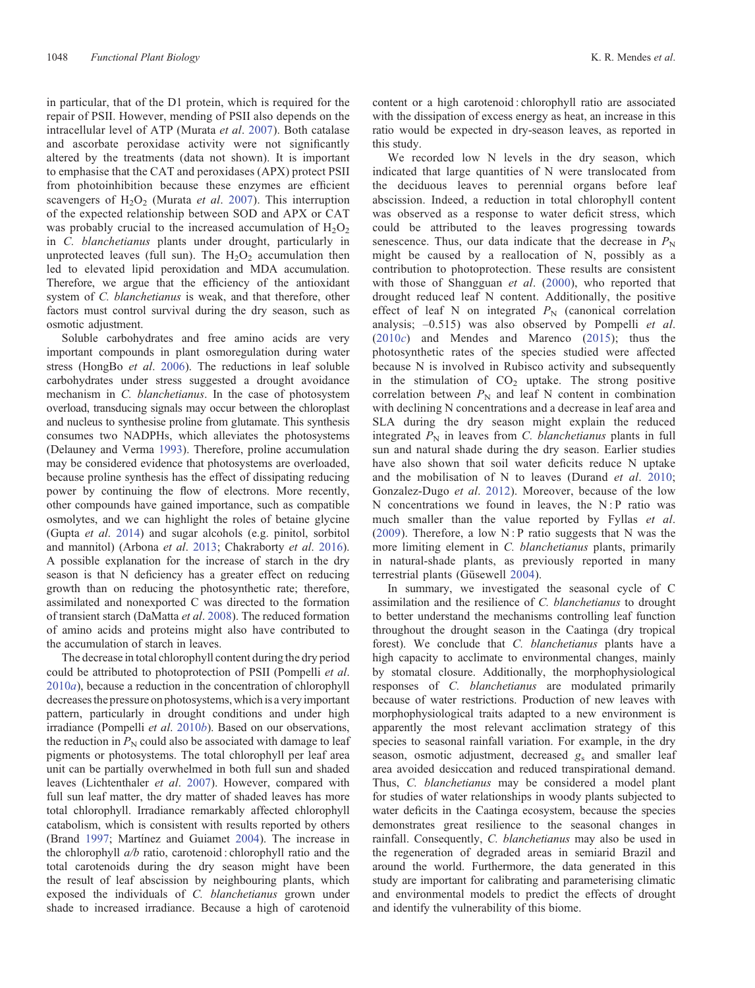in particular, that of the D1 protein, which is required for the repair of PSII. However, mending of PSII also depends on the intracellular level of ATP (Murata *et al*. [2007](#page-11-0)). Both catalase and ascorbate peroxidase activity were not significantly altered by the treatments (data not shown). It is important to emphasise that the CAT and peroxidases (APX) protect PSII from photoinhibition because these enzymes are efficient scavengers of H<sub>2</sub>O<sub>2</sub> (Murata *et al.* [2007\)](#page-11-0). This interruption of the expected relationship between SOD and APX or CAT was probably crucial to the increased accumulation of  $H_2O_2$ in *C. blanchetianus* plants under drought, particularly in unprotected leaves (full sun). The  $H_2O_2$  accumulation then led to elevated lipid peroxidation and MDA accumulation. Therefore, we argue that the efficiency of the antioxidant system of *C. blanchetianus* is weak, and that therefore, other factors must control survival during the dry season, such as osmotic adjustment.

Soluble carbohydrates and free amino acids are very important compounds in plant osmoregulation during water stress (HongBo *et al*. [2006\)](#page-11-0). The reductions in leaf soluble carbohydrates under stress suggested a drought avoidance mechanism in *C. blanchetianus*. In the case of photosystem overload, transducing signals may occur between the chloroplast and nucleus to synthesise proline from glutamate. This synthesis consumes two NADPHs, which alleviates the photosystems (Delauney and Verma [1993](#page-10-0)). Therefore, proline accumulation may be considered evidence that photosystems are overloaded, because proline synthesis has the effect of dissipating reducing power by continuing the flow of electrons. More recently, other compounds have gained importance, such as compatible osmolytes, and we can highlight the roles of betaine glycine (Gupta *et al*. [2014\)](#page-11-0) and sugar alcohols (e.g. pinitol, sorbitol and mannitol) (Arbona *et al*. [2013](#page-10-0); Chakraborty *et al*. [2016](#page-10-0)). A possible explanation for the increase of starch in the dry season is that N deficiency has a greater effect on reducing growth than on reducing the photosynthetic rate; therefore, assimilated and nonexported C was directed to the formation of transient starch (DaMatta *et al*. [2008\)](#page-10-0). The reduced formation of amino acids and proteins might also have contributed to the accumulation of starch in leaves.

The decrease in total chlorophyll content during the dry period could be attributed to photoprotection of PSII (Pompelli *et al*. [2010](#page-12-0)*a*), because a reduction in the concentration of chlorophyll decreases the pressure on photosystems, which is a very important pattern, particularly in drought conditions and under high irradiance (Pompelli *et al*. [2010](#page-12-0)*b*). Based on our observations, the reduction in  $P_N$  could also be associated with damage to leaf pigments or photosystems. The total chlorophyll per leaf area unit can be partially overwhelmed in both full sun and shaded leaves (Lichtenthaler *et al*. [2007](#page-11-0)). However, compared with full sun leaf matter, the dry matter of shaded leaves has more total chlorophyll. Irradiance remarkably affected chlorophyll catabolism, which is consistent with results reported by others (Brand [1997](#page-10-0); Martínez and Guiamet [2004\)](#page-11-0). The increase in the chlorophyll *a/b* ratio, carotenoid : chlorophyll ratio and the total carotenoids during the dry season might have been the result of leaf abscission by neighbouring plants, which exposed the individuals of *C. blanchetianus* grown under shade to increased irradiance. Because a high of carotenoid

content or a high carotenoid : chlorophyll ratio are associated with the dissipation of excess energy as heat, an increase in this ratio would be expected in dry-season leaves, as reported in this study.

We recorded low N levels in the dry season, which indicated that large quantities of N were translocated from the deciduous leaves to perennial organs before leaf abscission. Indeed, a reduction in total chlorophyll content was observed as a response to water deficit stress, which could be attributed to the leaves progressing towards senescence. Thus, our data indicate that the decrease in  $P_N$ might be caused by a reallocation of N, possibly as a contribution to photoprotection. These results are consistent with those of Shangguan *et al*. ([2000](#page-12-0)), who reported that drought reduced leaf N content. Additionally, the positive effect of leaf N on integrated  $P_N$  (canonical correlation analysis; –0.515) was also observed by Pompelli *et al*. ([2010](#page-12-0)*c*) and Mendes and Marenco ([2015](#page-11-0)); thus the photosynthetic rates of the species studied were affected because N is involved in Rubisco activity and subsequently in the stimulation of  $CO<sub>2</sub>$  uptake. The strong positive correlation between  $P_N$  and leaf N content in combination with declining N concentrations and a decrease in leaf area and SLA during the dry season might explain the reduced integrated  $P_N$  in leaves from *C. blanchetianus* plants in full sun and natural shade during the dry season. Earlier studies have also shown that soil water deficits reduce N uptake and the mobilisation of N to leaves (Durand *et al*. [2010](#page-10-0); Gonzalez-Dugo *et al*. [2012\)](#page-11-0). Moreover, because of the low N concentrations we found in leaves, the N:P ratio was much smaller than the value reported by Fyllas *et al*. ([2009](#page-10-0)). Therefore, a low  $N$ : P ratio suggests that N was the more limiting element in *C. blanchetianus* plants, primarily in natural-shade plants, as previously reported in many terrestrial plants (Güsewell [2004\)](#page-11-0).

In summary, we investigated the seasonal cycle of C assimilation and the resilience of *C. blanchetianus* to drought to better understand the mechanisms controlling leaf function throughout the drought season in the Caatinga (dry tropical forest). We conclude that *C. blanchetianus* plants have a high capacity to acclimate to environmental changes, mainly by stomatal closure. Additionally, the morphophysiological responses of *C. blanchetianus* are modulated primarily because of water restrictions. Production of new leaves with morphophysiological traits adapted to a new environment is apparently the most relevant acclimation strategy of this species to seasonal rainfall variation. For example, in the dry season, osmotic adjustment, decreased  $g_s$  and smaller leaf area avoided desiccation and reduced transpirational demand. Thus, *C. blanchetianus* may be considered a model plant for studies of water relationships in woody plants subjected to water deficits in the Caatinga ecosystem, because the species demonstrates great resilience to the seasonal changes in rainfall. Consequently, *C. blanchetianus* may also be used in the regeneration of degraded areas in semiarid Brazil and around the world. Furthermore, the data generated in this study are important for calibrating and parameterising climatic and environmental models to predict the effects of drought and identify the vulnerability of this biome.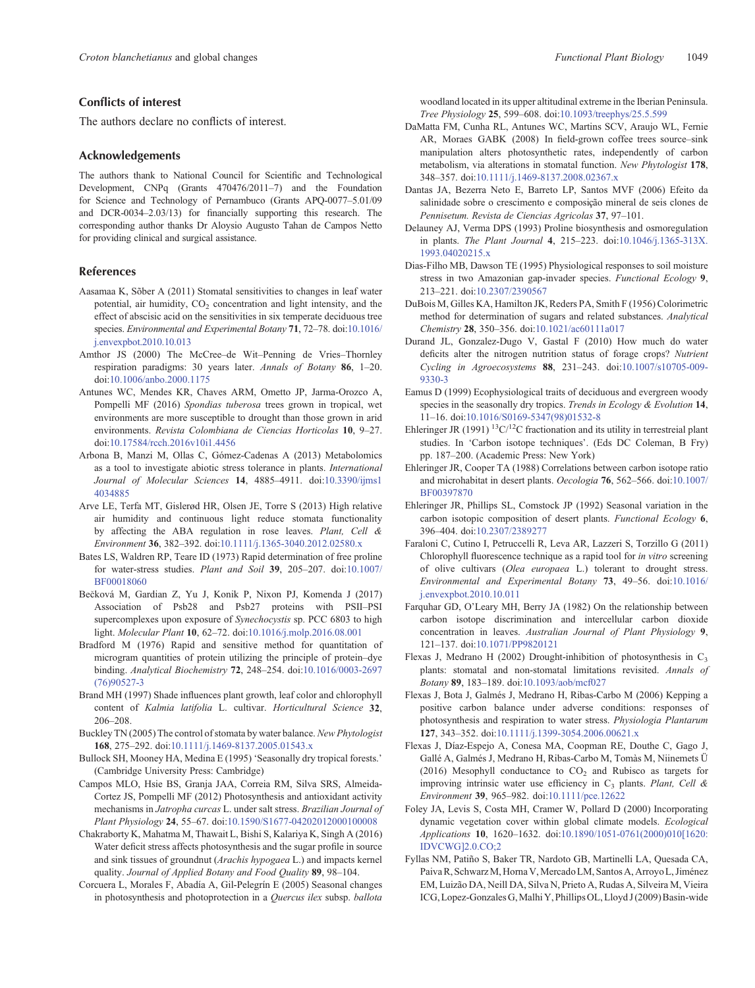# <span id="page-10-0"></span>**Conflicts of interest**

The authors declare no conflicts of interest.

### **Acknowledgements**

The authors thank to National Council for Scientific and Technological Development, CNPq (Grants 470476/2011–7) and the Foundation for Science and Technology of Pernambuco (Grants APQ-0077–5.01/09 and DCR-0034–2.03/13) for financially supporting this research. The corresponding author thanks Dr Aloysio Augusto Tahan de Campos Netto for providing clinical and surgical assistance.

## **References**

- Aasamaa K, Sõber A (2011) Stomatal sensitivities to changes in leaf water potential, air humidity,  $CO<sub>2</sub>$  concentration and light intensity, and the effect of abscisic acid on the sensitivities in six temperate deciduous tree species. *Environmental and Experimental Botany* **71**, 72–78. doi[:10.1016/](dx.doi.org/10.1016/j.�envexpbot.2010.10.013) [j.envexpbot.2010.10.013](dx.doi.org/10.1016/j.�envexpbot.2010.10.013)
- Amthor JS (2000) The McCree–de Wit–Penning de Vries–Thornley respiration paradigms: 30 years later. *Annals of Botany* **86**, 1–20. doi:[10.1006/anbo.2000.1175](dx.doi.org/10.1006/anbo.2000.1175)
- Antunes WC, Mendes KR, Chaves ARM, Ometto JP, Jarma-Orozco A, Pompelli MF (2016) *Spondias tuberosa* trees grown in tropical, wet environments are more susceptible to drought than those grown in arid environments. *Revista Colombiana de Ciencias Horticolas* **10**, 9–27. doi:[10.17584/rcch.2016v10i1.4456](dx.doi.org/10.17584/rcch.2016v10i1.4456)
- Arbona B, Manzi M, Ollas C, Gómez-Cadenas A (2013) Metabolomics as a tool to investigate abiotic stress tolerance in plants. *International Journal of Molecular Sciences* **14**, 4885–4911. doi[:10.3390/ijms1](dx.doi.org/10.3390/ijms14034885) [4034885](dx.doi.org/10.3390/ijms14034885)
- Arve LE, Terfa MT, Gislerød HR, Olsen JE, Torre S (2013) High relative air humidity and continuous light reduce stomata functionality by affecting the ABA regulation in rose leaves. *Plant, Cell & Environment* **36**, 382–392. doi:[10.1111/j.1365-3040.2012.02580.x](dx.doi.org/10.1111/j.1365-3040.2012.02580.x)
- Bates LS, Waldren RP, Teare ID (1973) Rapid determination of free proline for water-stress studies. *Plant and Soil* **39**, 205–207. doi[:10.1007/](dx.doi.org/10.1007/BF00018060) [BF00018060](dx.doi.org/10.1007/BF00018060)
- Becková M, Gardian Z, Yu J, Konik P, Nixon PJ, Komenda J (2017) Association of Psb28 and Psb27 proteins with PSII–PSI supercomplexes upon exposure of *Synechocystis* sp. PCC 6803 to high light. *Molecular Plant* **10**, 62–72. doi:[10.1016/j.molp.2016.08.001](dx.doi.org/10.1016/j.molp.2016.08.001)
- Bradford M (1976) Rapid and sensitive method for quantitation of microgram quantities of protein utilizing the principle of protein–dye binding. *Analytical Biochemistry* **72**, 248–254. doi[:10.1016/0003-2697](dx.doi.org/10.1016/0003-2697(76)90527-3) [\(76\)90527-3](dx.doi.org/10.1016/0003-2697(76)90527-3)
- Brand MH (1997) Shade influences plant growth, leaf color and chlorophyll content of *Kalmia latifolia* L. cultivar. *Horticultural Science* **32**, 206–208.
- Buckley TN (2005) The control of stomata by water balance.*New Phytologist* **168**, 275–292. doi:[10.1111/j.1469-8137.2005.01543.x](dx.doi.org/10.1111/j.1469-8137.2005.01543.x)
- Bullock SH, Mooney HA, Medina E (1995) 'Seasonally dry tropical forests.' (Cambridge University Press: Cambridge)
- Campos MLO, Hsie BS, Granja JAA, Correia RM, Silva SRS, Almeida-Cortez JS, Pompelli MF (2012) Photosynthesis and antioxidant activity mechanisms in *Jatropha curcas* L. under salt stress. *Brazilian Journal of Plant Physiology* **24**, 55–67. doi[:10.1590/S1677-04202012000100008](dx.doi.org/10.1590/S1677-04202012000100008)
- Chakraborty K, Mahatma M, Thawait L, Bishi S, Kalariya K, Singh A (2016) Water deficit stress affects photosynthesis and the sugar profile in source and sink tissues of groundnut (*Arachis hypogaea* L.) and impacts kernel quality. *Journal of Applied Botany and Food Quality* **89**, 98–104.
- Corcuera L, Morales F, Abadía A, Gil-Pelegrín E (2005) Seasonal changes in photosynthesis and photoprotection in a *Quercus ilex* subsp. *ballota*

woodland located in its upper altitudinal extreme in the Iberian Peninsula. *Tree Physiology* **25**, 599–608. doi:[10.1093/treephys/25.5.599](dx.doi.org/10.1093/treephys/25.5.599)

- DaMatta FM, Cunha RL, Antunes WC, Martins SCV, Araujo WL, Fernie AR, Moraes GABK (2008) In field-grown coffee trees source–sink manipulation alters photosynthetic rates, independently of carbon metabolism, via alterations in stomatal function. *New Phytologist* **178**, 348–357. doi:[10.1111/j.1469-8137.2008.02367.x](dx.doi.org/10.1111/j.1469-8137.2008.02367.x)
- Dantas JA, Bezerra Neto E, Barreto LP, Santos MVF (2006) Efeito da salinidade sobre o crescimento e composição mineral de seis clones de *Pennisetum. Revista de Ciencias Agricolas* **37**, 97–101.
- Delauney AJ, Verma DPS (1993) Proline biosynthesis and osmoregulation in plants. *The Plant Journal* **4**, 215–223. doi[:10.1046/j.1365-313X.](dx.doi.org/10.1046/j.1365-313X.1993.04020215.x) [1993.04020215.x](dx.doi.org/10.1046/j.1365-313X.1993.04020215.x)
- Dias-Filho MB, Dawson TE (1995) Physiological responses to soil moisture stress in two Amazonian gap-invader species. *Functional Ecology* **9**, 213–221. doi:[10.2307/2390567](dx.doi.org/10.2307/2390567)
- DuBois M, Gilles KA, Hamilton JK, Reders PA, Smith F (1956) Colorimetric method for determination of sugars and related substances. *Analytical Chemistry* **28**, 350–356. doi[:10.1021/ac60111a017](dx.doi.org/10.1021/ac60111a017)
- Durand JL, Gonzalez-Dugo V, Gastal F (2010) How much do water deficits alter the nitrogen nutrition status of forage crops? *Nutrient Cycling in Agroecosystems* **88**, 231–243. doi:[10.1007/s10705-009-](dx.doi.org/10.1007/s10705-009-9330-3) [9330-3](dx.doi.org/10.1007/s10705-009-9330-3)
- Eamus D (1999) Ecophysiological traits of deciduous and evergreen woody species in the seasonally dry tropics. *Trends in Ecology & Evolution* **14**, 11–16. doi:[10.1016/S0169-5347\(98\)01532-8](dx.doi.org/10.1016/S0169-5347(98)01532-8)
- Ehleringer JR (1991) <sup>13</sup>C/<sup>12</sup>C fractionation and its utility in terrestreial plant studies. In 'Carbon isotope techniques'. (Eds DC Coleman, B Fry) pp. 187–200. (Academic Press: New York)
- Ehleringer JR, Cooper TA (1988) Correlations between carbon isotope ratio and microhabitat in desert plants. *Oecologia* **76**, 562–566. doi:[10.1007/](dx.doi.org/10.1007/BF00397870) [BF00397870](dx.doi.org/10.1007/BF00397870)
- Ehleringer JR, Phillips SL, Comstock JP (1992) Seasonal variation in the carbon isotopic composition of desert plants. *Functional Ecology* **6**, 396–404. doi:[10.2307/2389277](dx.doi.org/10.2307/2389277)
- Faraloni C, Cutino I, Petruccelli R, Leva AR, Lazzeri S, Torzillo G (2011) Chlorophyll fluorescence technique as a rapid tool for *in vitro* screening of olive cultivars (*Olea europaea* L.) tolerant to drought stress. *Environmental and Experimental Botany* **73**, 49–56. doi:[10.1016/](dx.doi.org/10.1016/j.�envexpbot.2010.10.011) [j.envexpbot.2010.10.011](dx.doi.org/10.1016/j.�envexpbot.2010.10.011)
- Farquhar GD, O'Leary MH, Berry JA (1982) On the relationship between carbon isotope discrimination and intercellular carbon dioxide concentration in leaves. *Australian Journal of Plant Physiology* **9**, 121–137. doi:[10.1071/PP9820121](dx.doi.org/10.1071/PP9820121)
- Flexas J, Medrano H (2002) Drought-inhibition of photosynthesis in  $C_3$ plants: stomatal and non-stomatal limitations revisited. *Annals of Botany* **89**, 183–189. doi[:10.1093/aob/mcf027](dx.doi.org/10.1093/aob/mcf027)
- Flexas J, Bota J, Galmés J, Medrano H, Ribas-Carbo M (2006) Kepping a positive carbon balance under adverse conditions: responses of photosynthesis and respiration to water stress. *Physiologia Plantarum* **127**, 343–352. doi:[10.1111/j.1399-3054.2006.00621.x](dx.doi.org/10.1111/j.1399-3054.2006.00621.x)
- Flexas J, Díaz-Espejo A, Conesa MA, Coopman RE, Douthe C, Gago J, Gallé A, Galmés J, Medrano H, Ribas-Carbo M, Tomàs M, Niinemets Ü (2016) Mesophyll conductance to  $CO<sub>2</sub>$  and Rubisco as targets for improving intrinsic water use efficiency in C3 plants. *Plant, Cell & Environment* **39**, 965–982. doi[:10.1111/pce.12622](dx.doi.org/10.1111/pce.12622)
- Foley JA, Levis S, Costa MH, Cramer W, Pollard D (2000) Incorporating dynamic vegetation cover within global climate models. *Ecological Applications* **10**, 1620–1632. doi:[10.1890/1051-0761\(2000\)010\[1620:](dx.doi.org/10.1890/1051-0761(2000)010[1620:IDVCWG]2.0.CO;2) [IDVCWG\]2.0.CO;2](dx.doi.org/10.1890/1051-0761(2000)010[1620:IDVCWG]2.0.CO;2)
- Fyllas NM, Patiño S, Baker TR, Nardoto GB, Martinelli LA, Quesada CA, Paiva R, Schwarz M, Horna V, Mercado LM, Santos A, Arroyo L, Jiménez EM, Luizão DA, Neill DA, Silva N, Prieto A, Rudas A, Silveira M, Vieira ICG, Lopez-Gonzales G, Malhi Y, Phillips OL, Lloyd J (2009) Basin-wide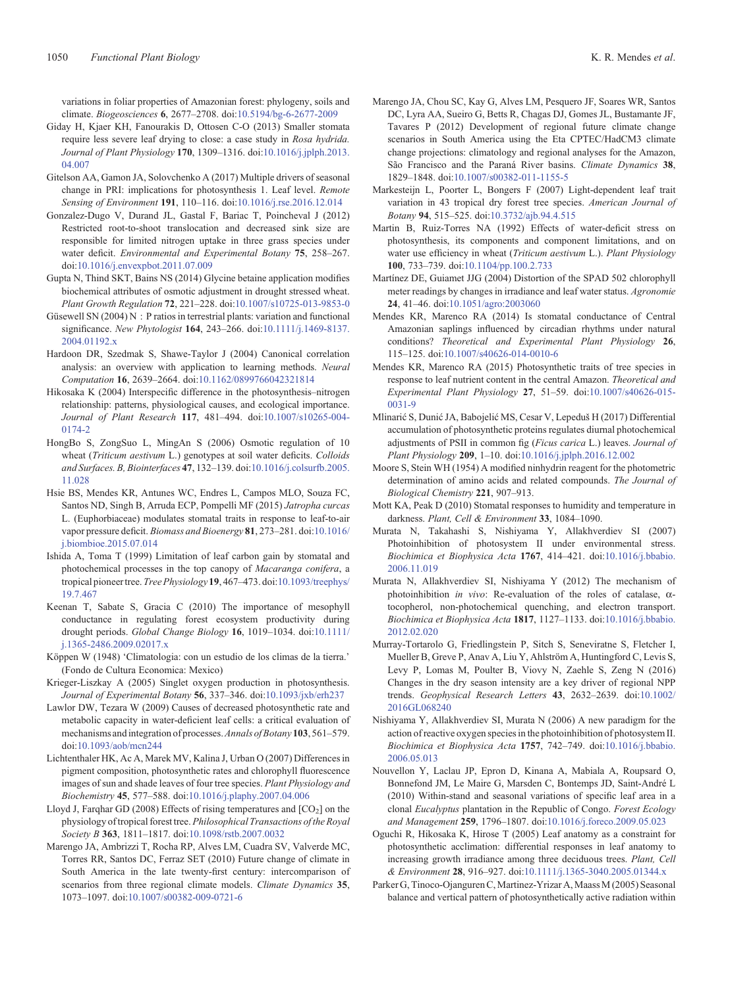<span id="page-11-0"></span>variations in foliar properties of Amazonian forest: phylogeny, soils and climate. *Biogeosciences* **6**, 2677–2708. doi[:10.5194/bg-6-2677-2009](dx.doi.org/10.5194/bg-6-2677-2009)

- Giday H, Kjaer KH, Fanourakis D, Ottosen C-O (2013) Smaller stomata require less severe leaf drying to close: a case study in *Rosa hydrida. Journal of Plant Physiology* **170**, 1309–1316. doi:[10.1016/j.jplph.2013.](dx.doi.org/10.1016/j.jplph.2013.04.007) [04.007](dx.doi.org/10.1016/j.jplph.2013.04.007)
- Gitelson AA, Gamon JA, Solovchenko A (2017) Multiple drivers of seasonal change in PRI: implications for photosynthesis 1. Leaf level. *Remote Sensing of Environment* **191**, 110–116. doi[:10.1016/j.rse.2016.12.014](dx.doi.org/10.1016/j.rse.2016.12.014)
- Gonzalez-Dugo V, Durand JL, Gastal F, Bariac T, Poincheval J (2012) Restricted root-to-shoot translocation and decreased sink size are responsible for limited nitrogen uptake in three grass species under water deficit. *Environmental and Experimental Botany* **75**, 258–267. doi:[10.1016/j.envexpbot.2011.07.009](dx.doi.org/10.1016/j.envexpbot.2011.07.009)
- Gupta N, Thind SKT, Bains NS (2014) Glycine betaine application modifies biochemical attributes of osmotic adjustment in drought stressed wheat. *Plant Growth Regulation* **72**, 221–228. doi[:10.1007/s10725-013-9853-0](dx.doi.org/10.1007/s10725-013-9853-0)
- Güsewell SN (2004) N : P ratios in terrestrial plants: variation and functional significance. *New Phytologist* **164**, 243–266. doi[:10.1111/j.1469-8137.](dx.doi.org/10.1111/j.1469-8137.2004.01192.x) [2004.01192.x](dx.doi.org/10.1111/j.1469-8137.2004.01192.x)
- Hardoon DR, Szedmak S, Shawe-Taylor J (2004) Canonical correlation analysis: an overview with application to learning methods. *Neural Computation* **16**, 2639–2664. doi:[10.1162/0899766042321814](dx.doi.org/10.1162/0899766042321814)
- Hikosaka K (2004) Interspecific difference in the photosynthesis–nitrogen relationship: patterns, physiological causes, and ecological importance. *Journal of Plant Research* **117**, 481–494. doi:[10.1007/s10265-004-](dx.doi.org/10.1007/s10265-004-0174-2) [0174-2](dx.doi.org/10.1007/s10265-004-0174-2)
- HongBo S, ZongSuo L, MingAn S (2006) Osmotic regulation of 10 wheat (*Triticum aestivum* L.) genotypes at soil water deficits. *Colloids and Surfaces. B, Biointerfaces* **47**, 132–139. doi[:10.1016/j.colsurfb.2005.](dx.doi.org/10.1016/j.colsurfb.2005.11.028) [11.028](dx.doi.org/10.1016/j.colsurfb.2005.11.028)
- Hsie BS, Mendes KR, Antunes WC, Endres L, Campos MLO, Souza FC, Santos ND, Singh B, Arruda ECP, Pompelli MF (2015) *Jatropha curcas* L. (Euphorbiaceae) modulates stomatal traits in response to leaf-to-air vapor pressure deficit. *Biomass and Bioenergy* **81**, 273–281. doi:[10.1016/](dx.doi.org/10.1016/j.biombioe.2015.07.014) [j.biombioe.2015.07.014](dx.doi.org/10.1016/j.biombioe.2015.07.014)
- Ishida A, Toma T (1999) Limitation of leaf carbon gain by stomatal and photochemical processes in the top canopy of *Macaranga conifera*, a tropical pioneer tree.*Tree Physiology* **19**, 467–473. doi[:10.1093/treephys/](dx.doi.org/10.1093/treephys/19.7.467) [19.7.467](dx.doi.org/10.1093/treephys/19.7.467)
- Keenan T, Sabate S, Gracia C (2010) The importance of mesophyll conductance in regulating forest ecosystem productivity during drought periods. *Global Change Biology* **16**, 1019–1034. doi:[10.1111/](dx.doi.org/10.1111/j.1365-2486.2009.02017.x) [j.1365-2486.2009.02017.x](dx.doi.org/10.1111/j.1365-2486.2009.02017.x)
- Köppen W (1948) 'Climatologia: con un estudio de los climas de la tierra.' (Fondo de Cultura Economica: Mexico)
- Krieger-Liszkay A (2005) Singlet oxygen production in photosynthesis. *Journal of Experimental Botany* **56**, 337–346. doi:[10.1093/jxb/erh237](dx.doi.org/10.1093/jxb/erh237)
- Lawlor DW, Tezara W (2009) Causes of decreased photosynthetic rate and metabolic capacity in water-deficient leaf cells: a critical evaluation of mechanisms and integration of processes.*Annals of Botany* **103**, 561–579. doi:[10.1093/aob/mcn244](dx.doi.org/10.1093/aob/mcn244)
- Lichtenthaler HK, Ac A, Marek MV, Kalina J, Urban O (2007) Differences in pigment composition, photosynthetic rates and chlorophyll fluorescence images of sun and shade leaves of four tree species. *Plant Physiology and Biochemistry* **45**, 577–588. doi:[10.1016/j.plaphy.2007.04.006](dx.doi.org/10.1016/j.plaphy.2007.04.006)
- Lloyd J, Farqhar GD (2008) Effects of rising temperatures and  $[CO<sub>2</sub>]$  on the physiology of tropical forest tree.*Philosophical Transactions of the Royal Society B* **363**, 1811–1817. doi[:10.1098/rstb.2007.0032](dx.doi.org/10.1098/rstb.2007.0032)
- Marengo JA, Ambrizzi T, Rocha RP, Alves LM, Cuadra SV, Valverde MC, Torres RR, Santos DC, Ferraz SET (2010) Future change of climate in South America in the late twenty-first century: intercomparison of scenarios from three regional climate models. *Climate Dynamics* **35**, 1073–1097. doi:[10.1007/s00382-009-0721-6](dx.doi.org/10.1007/s00382-009-0721-6)
- Marengo JA, Chou SC, Kay G, Alves LM, Pesquero JF, Soares WR, Santos DC, Lyra AA, Sueiro G, Betts R, Chagas DJ, Gomes JL, Bustamante JF, Tavares P (2012) Development of regional future climate change scenarios in South America using the Eta CPTEC/HadCM3 climate change projections: climatology and regional analyses for the Amazon, São Francisco and the Paraná River basins. *Climate Dynamics* **38**, 1829–1848. doi:[10.1007/s00382-011-1155-5](dx.doi.org/10.1007/s00382-011-1155-5)
- Markesteijn L, Poorter L, Bongers F (2007) Light-dependent leaf trait variation in 43 tropical dry forest tree species. *American Journal of Botany* **94**, 515–525. doi:[10.3732/ajb.94.4.515](dx.doi.org/10.3732/ajb.94.4.515)
- Martin B, Ruiz-Torres NA (1992) Effects of water-deficit stress on photosynthesis, its components and component limitations, and on water use efficiency in wheat (*Triticum aestivum* L.). *Plant Physiology* **100**, 733–739. doi[:10.1104/pp.100.2.733](dx.doi.org/10.1104/pp.100.2.733)
- Martínez DE, Guiamet JJG (2004) Distortion of the SPAD 502 chlorophyll meter readings by changes in irradiance and leaf water status. *Agronomie* **24**, 41–46. doi[:10.1051/agro:2003060](dx.doi.org/10.1051/agro:2003060)
- Mendes KR, Marenco RA (2014) Is stomatal conductance of Central Amazonian saplings influenced by circadian rhythms under natural conditions? *Theoretical and Experimental Plant Physiology* **26**, 115–125. doi[:10.1007/s40626-014-0010-6](dx.doi.org/10.1007/s40626-014-0010-6)
- Mendes KR, Marenco RA (2015) Photosynthetic traits of tree species in response to leaf nutrient content in the central Amazon. *Theoretical and Experimental Plant Physiology* **27**, 51–59. doi:[10.1007/s40626-015-](dx.doi.org/10.1007/s40626-015-0031-9) [0031-9](dx.doi.org/10.1007/s40626-015-0031-9)
- Mlinaric S, Dunic JA, Babojelic MS, Cesar V, Lepeduš H (2017) Differential accumulation of photosynthetic proteins regulates diurnal photochemical adjustments of PSII in common fig (*Ficus carica* L.) leaves. *Journal of Plant Physiology* **209**, 1–10. doi:[10.1016/j.jplph.2016.12.002](dx.doi.org/10.1016/j.jplph.2016.12.002)
- Moore S, Stein WH (1954) A modified ninhydrin reagent for the photometric determination of amino acids and related compounds. *The Journal of Biological Chemistry* **221**, 907–913.
- Mott KA, Peak D (2010) Stomatal responses to humidity and temperature in darkness. *Plant, Cell & Environment* **33**, 1084–1090.
- Murata N, Takahashi S, Nishiyama Y, Allakhverdiev SI (2007) Photoinhibition of photosystem II under environmental stress. *Biochimica et Biophysica Acta* **1767**, 414–421. doi[:10.1016/j.bbabio.](dx.doi.org/10.1016/j.bbabio.2006.11.019) [2006.11.019](dx.doi.org/10.1016/j.bbabio.2006.11.019)
- Murata N, Allakhverdiev SI, Nishiyama Y (2012) The mechanism of photoinhibition *in vivo*: Re-evaluation of the roles of catalase,  $\alpha$ tocopherol, non-photochemical quenching, and electron transport. *Biochimica et Biophysica Acta* **1817**, 1127–1133. doi[:10.1016/j.bbabio.](dx.doi.org/10.1016/j.bbabio.2012.02.020) [2012.02.020](dx.doi.org/10.1016/j.bbabio.2012.02.020)
- Murray-Tortarolo G, Friedlingstein P, Sitch S, Seneviratne S, Fletcher I, Mueller B, Greve P, Anav A, Liu Y, Ahlström A, Huntingford C, Levis S, Levy P, Lomas M, Poulter B, Viovy N, Zaehle S, Zeng N (2016) Changes in the dry season intensity are a key driver of regional NPP trends. *Geophysical Research Letters* **43**, 2632–2639. doi:[10.1002/](dx.doi.org/10.1002/2016GL068240) [2016GL068240](dx.doi.org/10.1002/2016GL068240)
- Nishiyama Y, Allakhverdiev SI, Murata N (2006) A new paradigm for the action of reactive oxygen species in the photoinhibition of photosystem II. *Biochimica et Biophysica Acta* **1757**, 742–749. doi[:10.1016/j.bbabio.](dx.doi.org/10.1016/j.bbabio.2006.05.013) [2006.05.013](dx.doi.org/10.1016/j.bbabio.2006.05.013)
- Nouvellon Y, Laclau JP, Epron D, Kinana A, Mabiala A, Roupsard O, Bonnefond JM, Le Maire G, Marsden C, Bontemps JD, Saint-André L (2010) Within-stand and seasonal variations of specific leaf area in a clonal *Eucalyptus* plantation in the Republic of Congo. *Forest Ecology and Management* **259**, 1796–1807. doi:[10.1016/j.foreco.2009.05.023](dx.doi.org/10.1016/j.foreco.2009.05.023)
- Oguchi R, Hikosaka K, Hirose T (2005) Leaf anatomy as a constraint for photosynthetic acclimation: differential responses in leaf anatomy to increasing growth irradiance among three deciduous trees. *Plant, Cell & Environment* **28**, 916–927. doi:[10.1111/j.1365-3040.2005.01344.x](dx.doi.org/10.1111/j.1365-3040.2005.01344.x)
- Parker G, Tinoco-Ojanguren C, Martinez-Yrizar A, Maass M (2005) Seasonal balance and vertical pattern of photosynthetically active radiation within